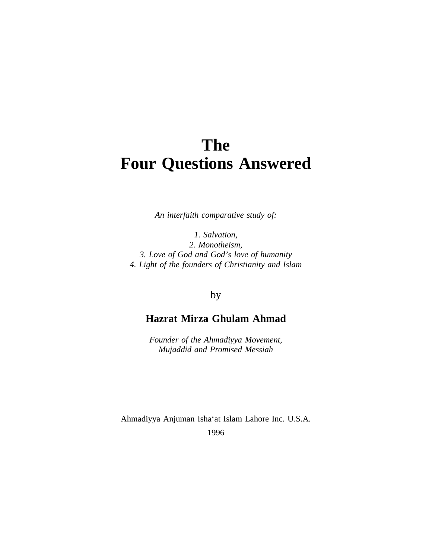# **The Four Questions Answered**

*An interfaith comparative study of:*

*1. Salvation, 2. Monotheism, 3. Love of God and God's love of humanity 4. Light of the founders of Christianity and Islam*

## by

## **Hazrat Mirza Ghulam Ahmad**

*Founder of the Ahmadiyya Movement, Mujaddid and Promised Messiah*

Ahmadiyya Anjuman Isha'at Islam Lahore Inc. U.S.A.

1996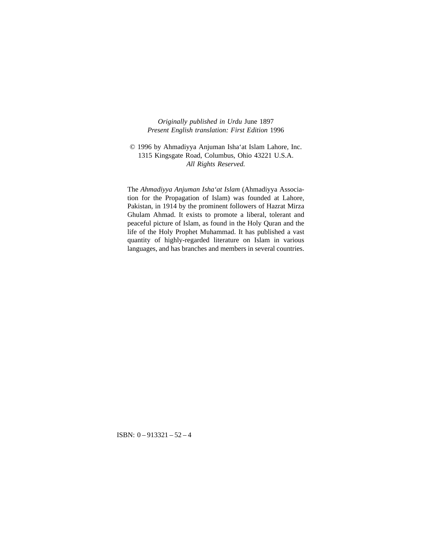#### *Originally published in Urdu* June 1897 *Present English translation: First Edition* 1996

#### © 1996 by Ahmadiyya Anjuman Isha'at Islam Lahore, Inc. 1315 Kingsgate Road, Columbus, Ohio 43221 U.S.A. *All Rights Reserved.*

The *Ahmadiyya Anjuman Isha'at Islam* (Ahmadiyya Association for the Propagation of Islam) was founded at Lahore, Pakistan, in 1914 by the prominent followers of Hazrat Mirza Ghulam Ahmad. It exists to promote a liberal, tolerant and peaceful picture of Islam, as found in the Holy Quran and the life of the Holy Prophet Muhammad. It has published a vast quantity of highly-regarded literature on Islam in various languages, and has branches and members in several countries.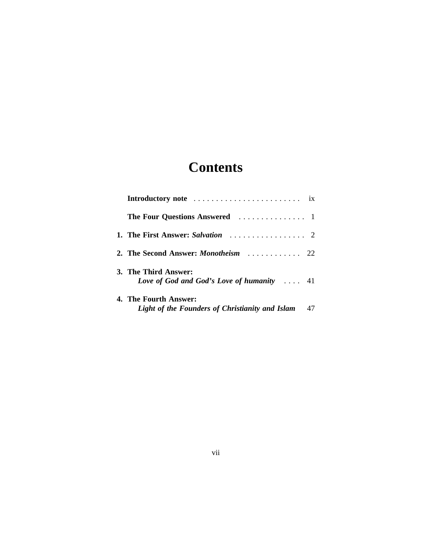# **Contents**

| 2. The Second Answer: <i>Monotheism</i> 22                                 |    |
|----------------------------------------------------------------------------|----|
| 3. The Third Answer:<br>Love of God and God's Love of humanity $\ldots$ 41 |    |
| 4. The Fourth Answer:<br>Light of the Founders of Christianity and Islam   | 47 |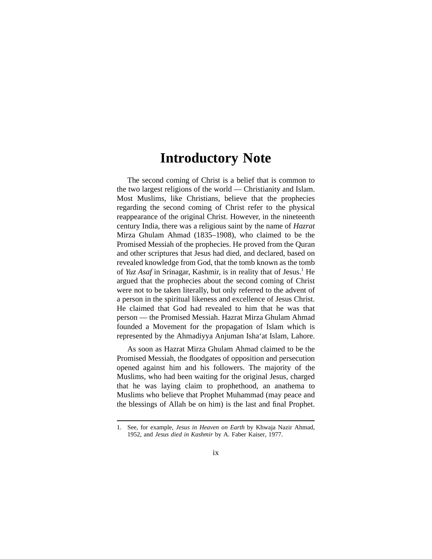## **Introductory Note**

The second coming of Christ is a belief that is common to the two largest religions of the world — Christianity and Islam. Most Muslims, like Christians, believe that the prophecies regarding the second coming of Christ refer to the physical reappearance of the original Christ. However, in the nineteenth century India, there was a religious saint by the name of *Hazrat* Mirza Ghulam Ahmad (1835–1908), who claimed to be the Promised Messiah of the prophecies. He proved from the Quran and other scriptures that Jesus had died, and declared, based on revealed knowledge from God, that the tomb known as the tomb of *Yuz Asaf* in Srinagar, Kashmir, is in reality that of Jesus.<sup>1</sup> He argued that the prophecies about the second coming of Christ were not to be taken literally, but only referred to the advent of a person in the spiritual likeness and excellence of Jesus Christ. He claimed that God had revealed to him that he was that person — the Promised Messiah. Hazrat Mirza Ghulam Ahmad founded a Movement for the propagation of Islam which is represented by the Ahmadiyya Anjuman Isha'at Islam, Lahore.

As soon as Hazrat Mirza Ghulam Ahmad claimed to be the Promised Messiah, the floodgates of opposition and persecution opened against him and his followers. The majority of the Muslims, who had been waiting for the original Jesus, charged that he was laying claim to prophethood, an anathema to Muslims who believe that Prophet Muhammad (may peace and the blessings of Allah be on him) is the last and final Prophet.

<sup>1.</sup> See, for example, *Jesus in Heaven on Earth* by Khwaja Nazir Ahmad, 1952, and *Jesus died in Kashmir* by A. Faber Kaiser, 1977.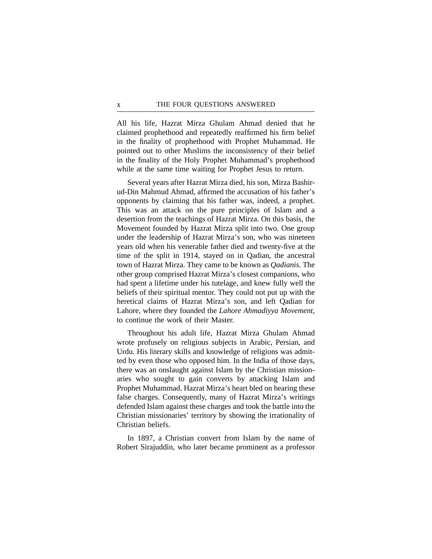All his life, Hazrat Mirza Ghulam Ahmad denied that he claimed prophethood and repeatedly reaffirmed his firm belief in the finality of prophethood with Prophet Muhammad. He pointed out to other Muslims the inconsistency of their belief in the finality of the Holy Prophet Muhammad's prophethood while at the same time waiting for Prophet Jesus to return.

Several years after Hazrat Mirza died, his son, Mirza Bashirud-Din Mahmud Ahmad, affirmed the accusation of his father's opponents by claiming that his father was, indeed, a prophet. This was an attack on the pure principles of Islam and a desertion from the teachings of Hazrat Mirza. On this basis, the Movement founded by Hazrat Mirza split into two. One group under the leadership of Hazrat Mirza's son, who was nineteen years old when his venerable father died and twenty-five at the time of the split in 1914, stayed on in Qadian, the ancestral town of Hazrat Mirza. They came to be known as *Qadianis*. The other group comprised Hazrat Mirza's closest companions, who had spent a lifetime under his tutelage, and knew fully well the beliefs of their spiritual mentor. They could not put up with the heretical claims of Hazrat Mirza's son, and left Qadian for Lahore, where they founded the *Lahore Ahmadiyya Movement*, to continue the work of their Master.

Throughout his adult life, Hazrat Mirza Ghulam Ahmad wrote profusely on religious subjects in Arabic, Persian, and Urdu. His literary skills and knowledge of religions was admitted by even those who opposed him. In the India of those days, there was an onslaught against Islam by the Christian missionaries who sought to gain converts by attacking Islam and Prophet Muhammad. Hazrat Mirza's heart bled on hearing these false charges. Consequently, many of Hazrat Mirza's writings defended Islam against these charges and took the battle into the Christian missionaries' territory by showing the irrationality of Christian beliefs.

In 1897, a Christian convert from Islam by the name of Robert Sirajuddin, who later became prominent as a professor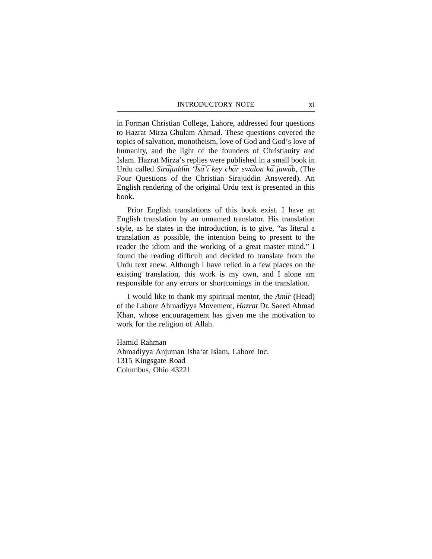in Forman Christian College, Lahore, addressed four questions to Hazrat Mirza Ghulam Ahmad. These questions covered the topics of salvation, monotheism, love of God and God's love of humanity, and the light of the founders of Christianity and Islam. Hazrat Mirza's replies were published in a small book in Urdu called *Sirājuddīn 'Īsā'ī key chār swālon kā jawāb*, (The Four Questions of the Christian Sirajuddin Answered). An English rendering of the original Urdu text is presented in this book.

Prior English translations of this book exist. I have an English translation by an unnamed translator. His translation style, as he states in the introduction, is to give, "as literal a translation as possible, the intention being to present to the reader the idiom and the working of a great master mind." I found the reading difficult and decided to translate from the Urdu text anew. Although I have relied in a few places on the existing translation, this work is my own, and I alone am responsible for any errors or shortcomings in the translation.

I would like to thank my spiritual mentor, the *Amīr* (Head) of the Lahore Ahmadiyya Movement, *Hazrat* Dr. Saeed Ahmad Khan, whose encouragement has given me the motivation to work for the religion of Allah.

Hamid Rahman Ahmadiyya Anjuman Isha'at Islam, Lahore Inc. 1315 Kingsgate Road Columbus, Ohio 43221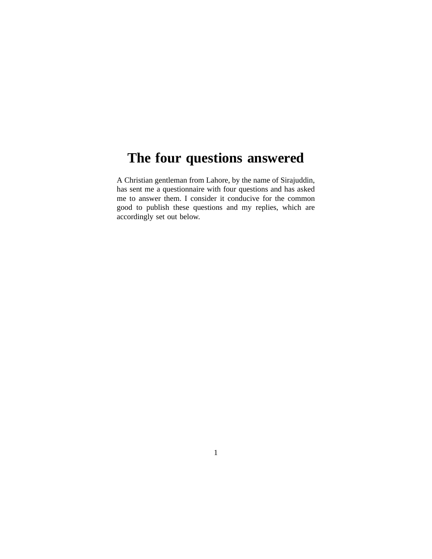# **The four questions answered**

A Christian gentleman from Lahore, by the name of Sirajuddin, has sent me a questionnaire with four questions and has asked me to answer them. I consider it conducive for the common good to publish these questions and my replies, which are accordingly set out below.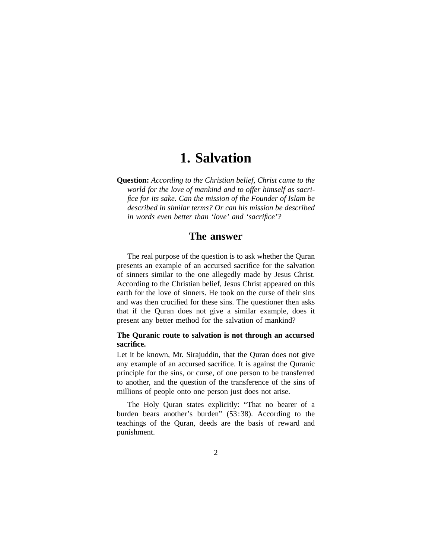## **1. Salvation**

**Question:** *According to the Christian belief, Christ came to the world for the love of mankind and to offer himself as sacrifice for its sake. Can the mission of the Founder of Islam be described in similar terms? Or can his mission be described in words even better than 'love' and 'sacrifice'?*

## **The answer**

The real purpose of the question is to ask whether the Quran presents an example of an accursed sacrifice for the salvation of sinners similar to the one allegedly made by Jesus Christ. According to the Christian belief, Jesus Christ appeared on this earth for the love of sinners. He took on the curse of their sins and was then crucified for these sins. The questioner then asks that if the Quran does not give a similar example, does it present any better method for the salvation of mankind?

## **The Quranic route to salvation is not through an accursed sacrifice.**

Let it be known, Mr. Sirajuddin, that the Quran does not give any example of an accursed sacrifice. It is against the Quranic principle for the sins, or curse, of one person to be transferred to another, and the question of the transference of the sins of millions of people onto one person just does not arise.

The Holy Quran states explicitly: "That no bearer of a burden bears another's burden" (53:38). According to the teachings of the Quran, deeds are the basis of reward and punishment.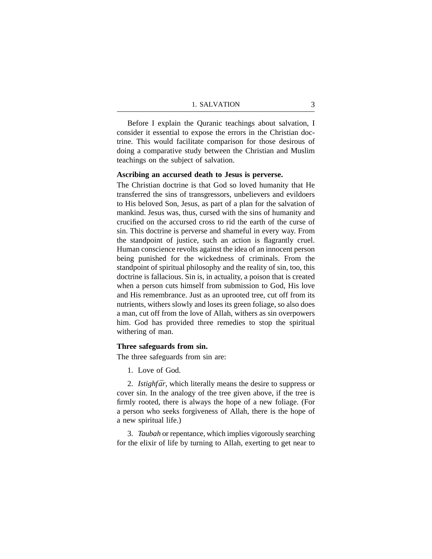Before I explain the Quranic teachings about salvation, I consider it essential to expose the errors in the Christian doctrine. This would facilitate comparison for those desirous of doing a comparative study between the Christian and Muslim teachings on the subject of salvation.

#### **Ascribing an accursed death to Jesus is perverse.**

The Christian doctrine is that God so loved humanity that He transferred the sins of transgressors, unbelievers and evildoers to His beloved Son, Jesus, as part of a plan for the salvation of mankind. Jesus was, thus, cursed with the sins of humanity and crucified on the accursed cross to rid the earth of the curse of sin. This doctrine is perverse and shameful in every way. From the standpoint of justice, such an action is flagrantly cruel. Human conscience revolts against the idea of an innocent person being punished for the wickedness of criminals. From the standpoint of spiritual philosophy and the reality of sin, too, this doctrine is fallacious. Sin is, in actuality, a poison that is created when a person cuts himself from submission to God, His love and His remembrance. Just as an uprooted tree, cut off from its nutrients, withers slowly and loses its green foliage, so also does a man, cut off from the love of Allah, withers as sin overpowers him. God has provided three remedies to stop the spiritual withering of man.

#### **Three safeguards from sin.**

The three safeguards from sin are:

1. Love of God.

2. *Istighfār*, which literally means the desire to suppress or cover sin. In the analogy of the tree given above, if the tree is firmly rooted, there is always the hope of a new foliage. (For a person who seeks forgiveness of Allah, there is the hope of a new spiritual life.)

3. *Taubah* or repentance, which implies vigorously searching for the elixir of life by turning to Allah, exerting to get near to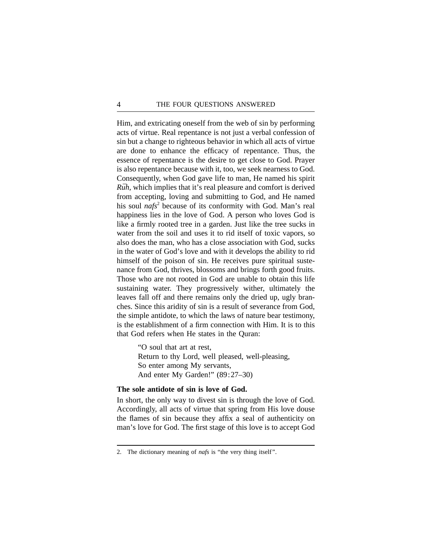Him, and extricating oneself from the web of sin by performing acts of virtue. Real repentance is not just a verbal confession of sin but a change to righteous behavior in which all acts of virtue are done to enhance the efficacy of repentance. Thus, the essence of repentance is the desire to get close to God. Prayer is also repentance because with it, too, we seek nearness to God. Consequently, when God gave life to man, He named his spirit *Rūh*, which implies that it's real pleasure and comfort is derived from accepting, loving and submitting to God, and He named his soul *nafs*<sup>2</sup> because of its conformity with God. Man's real happiness lies in the love of God. A person who loves God is like a firmly rooted tree in a garden. Just like the tree sucks in water from the soil and uses it to rid itself of toxic vapors, so also does the man, who has a close association with God, sucks in the water of God's love and with it develops the ability to rid himself of the poison of sin. He receives pure spiritual sustenance from God, thrives, blossoms and brings forth good fruits. Those who are not rooted in God are unable to obtain this life sustaining water. They progressively wither, ultimately the leaves fall off and there remains only the dried up, ugly branches. Since this aridity of sin is a result of severance from God, the simple antidote, to which the laws of nature bear testimony, is the establishment of a firm connection with Him. It is to this that God refers when He states in the Quran:

> "O soul that art at rest, Return to thy Lord, well pleased, well-pleasing, So enter among My servants, And enter My Garden!" (89:27–30)

## **The sole antidote of sin is love of God.**

In short, the only way to divest sin is through the love of God. Accordingly, all acts of virtue that spring from His love douse the flames of sin because they affix a seal of authenticity on man's love for God. The first stage of this love is to accept God

<sup>2.</sup> The dictionary meaning of *nafs* is "the very thing itself".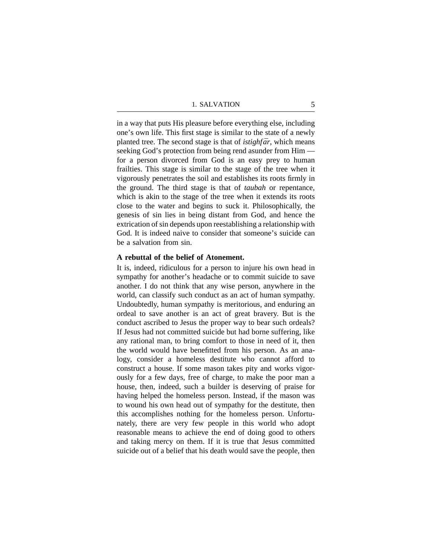in a way that puts His pleasure before everything else, including one's own life. This first stage is similar to the state of a newly planted tree. The second stage is that of *istighfar*, which means seeking God's protection from being rend asunder from Him for a person divorced from God is an easy prey to human frailties. This stage is similar to the stage of the tree when it vigorously penetrates the soil and establishes its roots firmly in the ground. The third stage is that of *taubah* or repentance, which is akin to the stage of the tree when it extends its roots close to the water and begins to suck it. Philosophically, the genesis of sin lies in being distant from God, and hence the extrication of sin depends upon reestablishing a relationship with God. It is indeed naive to consider that someone's suicide can be a salvation from sin.

#### **A rebuttal of the belief of Atonement.**

It is, indeed, ridiculous for a person to injure his own head in sympathy for another's headache or to commit suicide to save another. I do not think that any wise person, anywhere in the world, can classify such conduct as an act of human sympathy. Undoubtedly, human sympathy is meritorious, and enduring an ordeal to save another is an act of great bravery. But is the conduct ascribed to Jesus the proper way to bear such ordeals? If Jesus had not committed suicide but had borne suffering, like any rational man, to bring comfort to those in need of it, then the world would have benefitted from his person. As an analogy, consider a homeless destitute who cannot afford to construct a house. If some mason takes pity and works vigorously for a few days, free of charge, to make the poor man a house, then, indeed, such a builder is deserving of praise for having helped the homeless person. Instead, if the mason was to wound his own head out of sympathy for the destitute, then this accomplishes nothing for the homeless person. Unfortunately, there are very few people in this world who adopt reasonable means to achieve the end of doing good to others and taking mercy on them. If it is true that Jesus committed suicide out of a belief that his death would save the people, then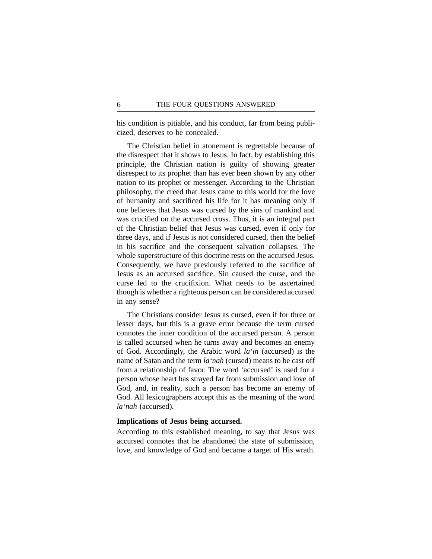his condition is pitiable, and his conduct, far from being publicized, deserves to be concealed.

The Christian belief in atonement is regrettable because of the disrespect that it shows to Jesus. In fact, by establishing this principle, the Christian nation is guilty of showing greater disrespect to its prophet than has ever been shown by any other nation to its prophet or messenger. According to the Christian philosophy, the creed that Jesus came to this world for the love of humanity and sacrificed his life for it has meaning only if one believes that Jesus was cursed by the sins of mankind and was crucified on the accursed cross. Thus, it is an integral part of the Christian belief that Jesus was cursed, even if only for three days, and if Jesus is not considered cursed, then the belief in his sacrifice and the consequent salvation collapses. The whole superstructure of this doctrine rests on the accursed Jesus. Consequently, we have previously referred to the sacrifice of Jesus as an accursed sacrifice. Sin caused the curse, and the curse led to the crucifixion. What needs to be ascertained though is whether a righteous person can be considered accursed in any sense?

The Christians consider Jesus as cursed, even if for three or lesser days, but this is a grave error because the term cursed connotes the inner condition of the accursed person. A person is called accursed when he turns away and becomes an enemy of God. Accordingly, the Arabic word *la'in* (accursed) is the name of Satan and the term *la'nah* (cursed) means to be cast off from a relationship of favor. The word 'accursed' is used for a person whose heart has strayed far from submission and love of God, and, in reality, such a person has become an enemy of God. All lexicographers accept this as the meaning of the word *la'nah* (accursed).

### **Implications of Jesus being accursed.**

According to this established meaning, to say that Jesus was accursed connotes that he abandoned the state of submission, love, and knowledge of God and became a target of His wrath.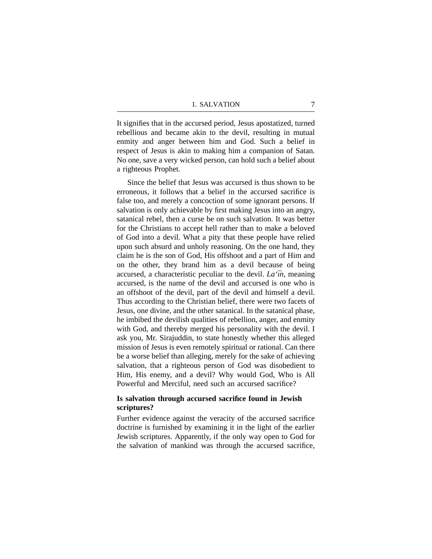It signifies that in the accursed period, Jesus apostatized, turned rebellious and became akin to the devil, resulting in mutual enmity and anger between him and God. Such a belief in respect of Jesus is akin to making him a companion of Satan. No one, save a very wicked person, can hold such a belief about a righteous Prophet.

Since the belief that Jesus was accursed is thus shown to be erroneous, it follows that a belief in the accursed sacrifice is false too, and merely a concoction of some ignorant persons. If salvation is only achievable by first making Jesus into an angry, satanical rebel, then a curse be on such salvation. It was better for the Christians to accept hell rather than to make a beloved of God into a devil. What a pity that these people have relied upon such absurd and unholy reasoning. On the one hand, they claim he is the son of God, His offshoot and a part of Him and on the other, they brand him as a devil because of being accursed, a characteristic peculiar to the devil. *La'in*, meaning accursed, is the name of the devil and accursed is one who is an offshoot of the devil, part of the devil and himself a devil. Thus according to the Christian belief, there were two facets of Jesus, one divine, and the other satanical. In the satanical phase, he imbibed the devilish qualities of rebellion, anger, and enmity with God, and thereby merged his personality with the devil. I ask you, Mr. Sirajuddin, to state honestly whether this alleged mission of Jesus is even remotely spiritual or rational. Can there be a worse belief than alleging, merely for the sake of achieving salvation, that a righteous person of God was disobedient to Him, His enemy, and a devil? Why would God, Who is All Powerful and Merciful, need such an accursed sacrifice?

## **Is salvation through accursed sacrifice found in Jewish scriptures?**

Further evidence against the veracity of the accursed sacrifice doctrine is furnished by examining it in the light of the earlier Jewish scriptures. Apparently, if the only way open to God for the salvation of mankind was through the accursed sacrifice,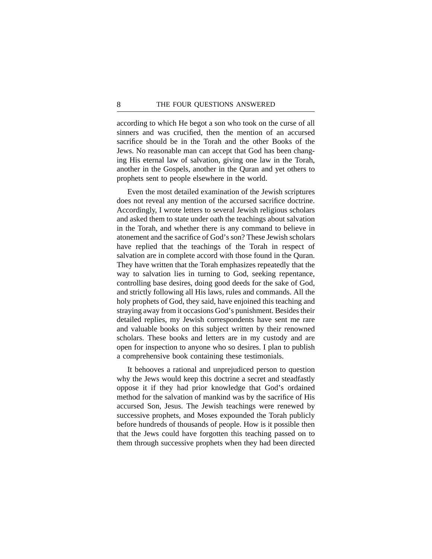according to which He begot a son who took on the curse of all sinners and was crucified, then the mention of an accursed sacrifice should be in the Torah and the other Books of the Jews. No reasonable man can accept that God has been changing His eternal law of salvation, giving one law in the Torah, another in the Gospels, another in the Quran and yet others to prophets sent to people elsewhere in the world.

Even the most detailed examination of the Jewish scriptures does not reveal any mention of the accursed sacrifice doctrine. Accordingly, I wrote letters to several Jewish religious scholars and asked them to state under oath the teachings about salvation in the Torah, and whether there is any command to believe in atonement and the sacrifice of God's son? These Jewish scholars have replied that the teachings of the Torah in respect of salvation are in complete accord with those found in the Quran. They have written that the Torah emphasizes repeatedly that the way to salvation lies in turning to God, seeking repentance, controlling base desires, doing good deeds for the sake of God, and strictly following all His laws, rules and commands. All the holy prophets of God, they said, have enjoined this teaching and straying away from it occasions God's punishment. Besides their detailed replies, my Jewish correspondents have sent me rare and valuable books on this subject written by their renowned scholars. These books and letters are in my custody and are open for inspection to anyone who so desires. I plan to publish a comprehensive book containing these testimonials.

It behooves a rational and unprejudiced person to question why the Jews would keep this doctrine a secret and steadfastly oppose it if they had prior knowledge that God's ordained method for the salvation of mankind was by the sacrifice of His accursed Son, Jesus. The Jewish teachings were renewed by successive prophets, and Moses expounded the Torah publicly before hundreds of thousands of people. How is it possible then that the Jews could have forgotten this teaching passed on to them through successive prophets when they had been directed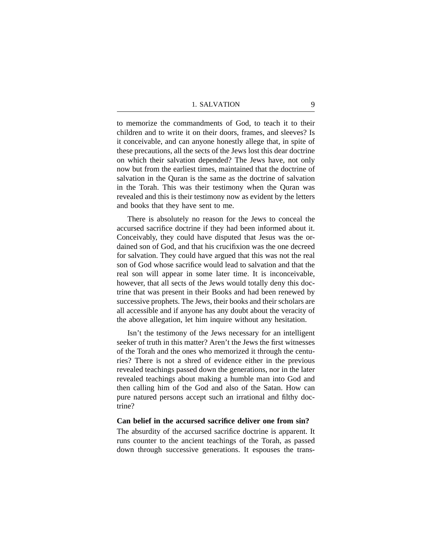to memorize the commandments of God, to teach it to their children and to write it on their doors, frames, and sleeves? Is it conceivable, and can anyone honestly allege that, in spite of these precautions, all the sects of the Jews lost this dear doctrine on which their salvation depended? The Jews have, not only now but from the earliest times, maintained that the doctrine of salvation in the Quran is the same as the doctrine of salvation in the Torah. This was their testimony when the Quran was revealed and this is their testimony now as evident by the letters and books that they have sent to me.

There is absolutely no reason for the Jews to conceal the accursed sacrifice doctrine if they had been informed about it. Conceivably, they could have disputed that Jesus was the ordained son of God, and that his crucifixion was the one decreed for salvation. They could have argued that this was not the real son of God whose sacrifice would lead to salvation and that the real son will appear in some later time. It is inconceivable, however, that all sects of the Jews would totally deny this doctrine that was present in their Books and had been renewed by successive prophets. The Jews, their books and their scholars are all accessible and if anyone has any doubt about the veracity of the above allegation, let him inquire without any hesitation.

Isn't the testimony of the Jews necessary for an intelligent seeker of truth in this matter? Aren't the Jews the first witnesses of the Torah and the ones who memorized it through the centuries? There is not a shred of evidence either in the previous revealed teachings passed down the generations, nor in the later revealed teachings about making a humble man into God and then calling him of the God and also of the Satan. How can pure natured persons accept such an irrational and filthy doctrine?

#### **Can belief in the accursed sacrifice deliver one from sin?**

The absurdity of the accursed sacrifice doctrine is apparent. It runs counter to the ancient teachings of the Torah, as passed down through successive generations. It espouses the trans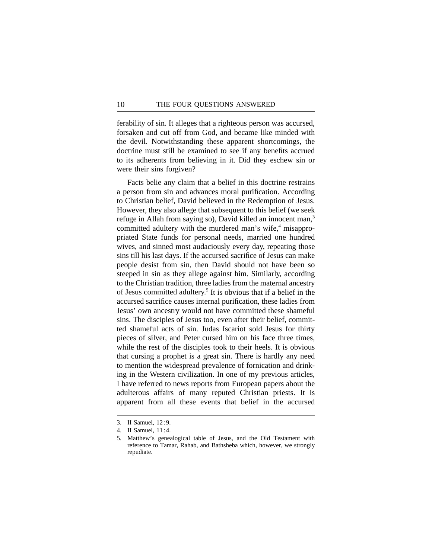ferability of sin. It alleges that a righteous person was accursed, forsaken and cut off from God, and became like minded with the devil. Notwithstanding these apparent shortcomings, the doctrine must still be examined to see if any benefits accrued to its adherents from believing in it. Did they eschew sin or were their sins forgiven?

Facts belie any claim that a belief in this doctrine restrains a person from sin and advances moral purification. According to Christian belief, David believed in the Redemption of Jesus. However, they also allege that subsequent to this belief (we seek refuge in Allah from saying so), David killed an innocent man,<sup>3</sup> committed adultery with the murdered man's wife, $4$  misappropriated State funds for personal needs, married one hundred wives, and sinned most audaciously every day, repeating those sins till his last days. If the accursed sacrifice of Jesus can make people desist from sin, then David should not have been so steeped in sin as they allege against him. Similarly, according to the Christian tradition, three ladies from the maternal ancestry of Jesus committed adultery.5 It is obvious that if a belief in the accursed sacrifice causes internal purification, these ladies from Jesus' own ancestry would not have committed these shameful sins. The disciples of Jesus too, even after their belief, committed shameful acts of sin. Judas Iscariot sold Jesus for thirty pieces of silver, and Peter cursed him on his face three times, while the rest of the disciples took to their heels. It is obvious that cursing a prophet is a great sin. There is hardly any need to mention the widespread prevalence of fornication and drinking in the Western civilization. In one of my previous articles, I have referred to news reports from European papers about the adulterous affairs of many reputed Christian priests. It is apparent from all these events that belief in the accursed

<sup>3.</sup> II Samuel, 12:9.

<sup>4.</sup> II Samuel, 11:4.

<sup>5.</sup> Matthew's genealogical table of Jesus, and the Old Testament with reference to Tamar, Rahab, and Bathsheba which, however, we strongly repudiate.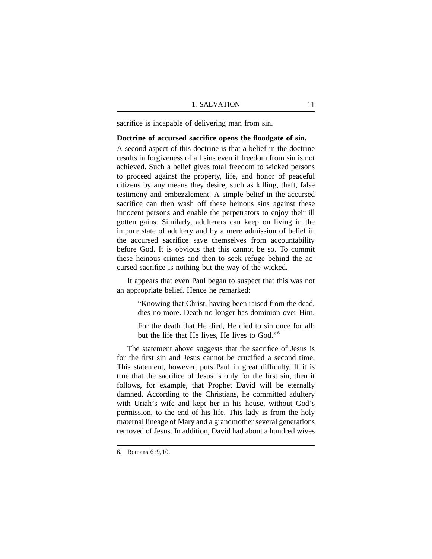sacrifice is incapable of delivering man from sin.

## **Doctrine of accursed sacrifice opens the floodgate of sin.**

A second aspect of this doctrine is that a belief in the doctrine results in forgiveness of all sins even if freedom from sin is not achieved. Such a belief gives total freedom to wicked persons to proceed against the property, life, and honor of peaceful citizens by any means they desire, such as killing, theft, false testimony and embezzlement. A simple belief in the accursed sacrifice can then wash off these heinous sins against these innocent persons and enable the perpetrators to enjoy their ill gotten gains. Similarly, adulterers can keep on living in the impure state of adultery and by a mere admission of belief in the accursed sacrifice save themselves from accountability before God. It is obvious that this cannot be so. To commit these heinous crimes and then to seek refuge behind the accursed sacrifice is nothing but the way of the wicked.

It appears that even Paul began to suspect that this was not an appropriate belief. Hence he remarked:

> "Knowing that Christ, having been raised from the dead, dies no more. Death no longer has dominion over Him.

> For the death that He died, He died to sin once for all; but the life that He lives, He lives to God."<sup>6</sup>

The statement above suggests that the sacrifice of Jesus is for the first sin and Jesus cannot be crucified a second time. This statement, however, puts Paul in great difficulty. If it is true that the sacrifice of Jesus is only for the first sin, then it follows, for example, that Prophet David will be eternally damned. According to the Christians, he committed adultery with Uriah's wife and kept her in his house, without God's permission, to the end of his life. This lady is from the holy maternal lineage of Mary and a grandmother several generations removed of Jesus. In addition, David had about a hundred wives

<sup>6.</sup> Romans 6:9,10.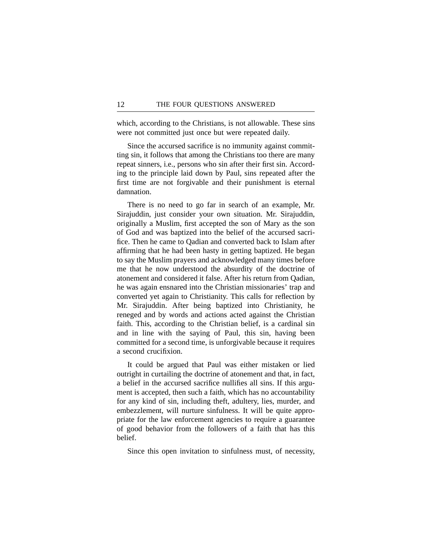which, according to the Christians, is not allowable. These sins were not committed just once but were repeated daily.

Since the accursed sacrifice is no immunity against committing sin, it follows that among the Christians too there are many repeat sinners, i.e., persons who sin after their first sin. According to the principle laid down by Paul, sins repeated after the first time are not forgivable and their punishment is eternal damnation.

There is no need to go far in search of an example, Mr. Sirajuddin, just consider your own situation. Mr. Sirajuddin, originally a Muslim, first accepted the son of Mary as the son of God and was baptized into the belief of the accursed sacrifice. Then he came to Qadian and converted back to Islam after affirming that he had been hasty in getting baptized. He began to say the Muslim prayers and acknowledged many times before me that he now understood the absurdity of the doctrine of atonement and considered it false. After his return from Qadian, he was again ensnared into the Christian missionaries' trap and converted yet again to Christianity. This calls for reflection by Mr. Sirajuddin. After being baptized into Christianity, he reneged and by words and actions acted against the Christian faith. This, according to the Christian belief, is a cardinal sin and in line with the saying of Paul, this sin, having been committed for a second time, is unforgivable because it requires a second crucifixion.

It could be argued that Paul was either mistaken or lied outright in curtailing the doctrine of atonement and that, in fact, a belief in the accursed sacrifice nullifies all sins. If this argument is accepted, then such a faith, which has no accountability for any kind of sin, including theft, adultery, lies, murder, and embezzlement, will nurture sinfulness. It will be quite appropriate for the law enforcement agencies to require a guarantee of good behavior from the followers of a faith that has this belief.

Since this open invitation to sinfulness must, of necessity,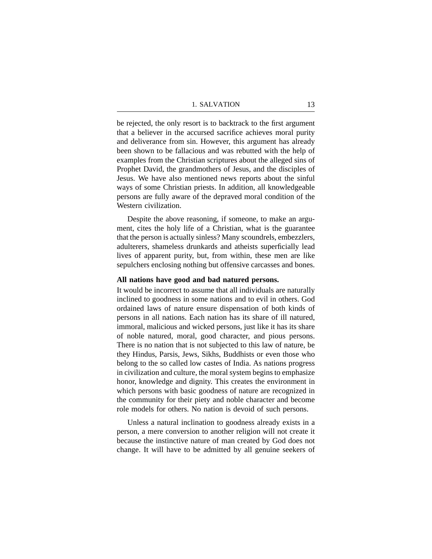be rejected, the only resort is to backtrack to the first argument that a believer in the accursed sacrifice achieves moral purity and deliverance from sin. However, this argument has already been shown to be fallacious and was rebutted with the help of examples from the Christian scriptures about the alleged sins of Prophet David, the grandmothers of Jesus, and the disciples of Jesus. We have also mentioned news reports about the sinful ways of some Christian priests. In addition, all knowledgeable persons are fully aware of the depraved moral condition of the Western civilization.

Despite the above reasoning, if someone, to make an argument, cites the holy life of a Christian, what is the guarantee that the person is actually sinless? Many scoundrels, embezzlers, adulterers, shameless drunkards and atheists superficially lead lives of apparent purity, but, from within, these men are like sepulchers enclosing nothing but offensive carcasses and bones.

### **All nations have good and bad natured persons.**

It would be incorrect to assume that all individuals are naturally inclined to goodness in some nations and to evil in others. God ordained laws of nature ensure dispensation of both kinds of persons in all nations. Each nation has its share of ill natured, immoral, malicious and wicked persons, just like it has its share of noble natured, moral, good character, and pious persons. There is no nation that is not subjected to this law of nature, be they Hindus, Parsis, Jews, Sikhs, Buddhists or even those who belong to the so called low castes of India. As nations progress in civilization and culture, the moral system begins to emphasize honor, knowledge and dignity. This creates the environment in which persons with basic goodness of nature are recognized in the community for their piety and noble character and become role models for others. No nation is devoid of such persons.

Unless a natural inclination to goodness already exists in a person, a mere conversion to another religion will not create it because the instinctive nature of man created by God does not change. It will have to be admitted by all genuine seekers of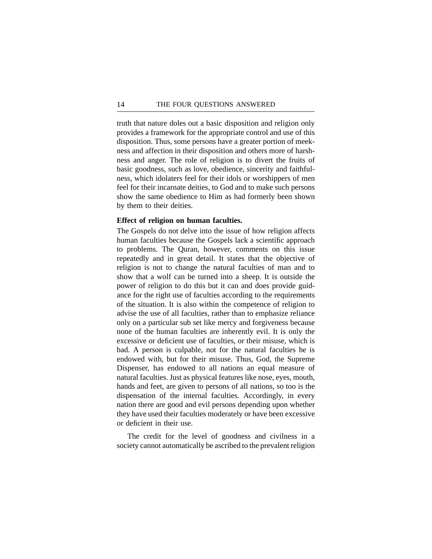truth that nature doles out a basic disposition and religion only provides a framework for the appropriate control and use of this disposition. Thus, some persons have a greater portion of meekness and affection in their disposition and others more of harshness and anger. The role of religion is to divert the fruits of basic goodness, such as love, obedience, sincerity and faithfulness, which idolaters feel for their idols or worshippers of men feel for their incarnate deities, to God and to make such persons show the same obedience to Him as had formerly been shown by them to their deities.

### **Effect of religion on human faculties.**

The Gospels do not delve into the issue of how religion affects human faculties because the Gospels lack a scientific approach to problems. The Quran, however, comments on this issue repeatedly and in great detail. It states that the objective of religion is not to change the natural faculties of man and to show that a wolf can be turned into a sheep. It is outside the power of religion to do this but it can and does provide guidance for the right use of faculties according to the requirements of the situation. It is also within the competence of religion to advise the use of all faculties, rather than to emphasize reliance only on a particular sub set like mercy and forgiveness because none of the human faculties are inherently evil. It is only the excessive or deficient use of faculties, or their misuse, which is bad. A person is culpable, not for the natural faculties he is endowed with, but for their misuse. Thus, God, the Supreme Dispenser, has endowed to all nations an equal measure of natural faculties. Just as physical features like nose, eyes, mouth, hands and feet, are given to persons of all nations, so too is the dispensation of the internal faculties. Accordingly, in every nation there are good and evil persons depending upon whether they have used their faculties moderately or have been excessive or deficient in their use.

The credit for the level of goodness and civilness in a society cannot automatically be ascribed to the prevalent religion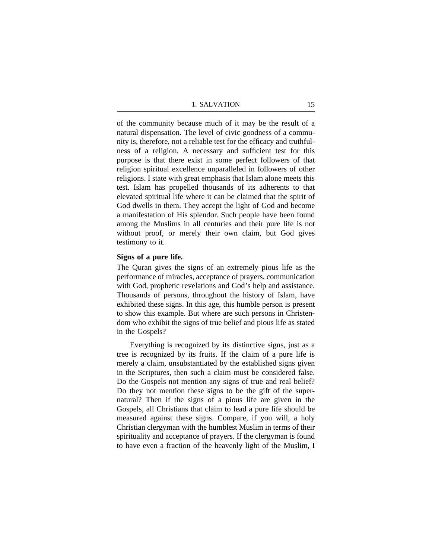of the community because much of it may be the result of a natural dispensation. The level of civic goodness of a community is, therefore, not a reliable test for the efficacy and truthfulness of a religion. A necessary and sufficient test for this purpose is that there exist in some perfect followers of that religion spiritual excellence unparalleled in followers of other religions. I state with great emphasis that Islam alone meets this test. Islam has propelled thousands of its adherents to that elevated spiritual life where it can be claimed that the spirit of God dwells in them. They accept the light of God and become a manifestation of His splendor. Such people have been found among the Muslims in all centuries and their pure life is not without proof, or merely their own claim, but God gives testimony to it.

#### **Signs of a pure life.**

The Quran gives the signs of an extremely pious life as the performance of miracles, acceptance of prayers, communication with God, prophetic revelations and God's help and assistance. Thousands of persons, throughout the history of Islam, have exhibited these signs. In this age, this humble person is present to show this example. But where are such persons in Christendom who exhibit the signs of true belief and pious life as stated in the Gospels?

Everything is recognized by its distinctive signs, just as a tree is recognized by its fruits. If the claim of a pure life is merely a claim, unsubstantiated by the established signs given in the Scriptures, then such a claim must be considered false. Do the Gospels not mention any signs of true and real belief? Do they not mention these signs to be the gift of the supernatural? Then if the signs of a pious life are given in the Gospels, all Christians that claim to lead a pure life should be measured against these signs. Compare, if you will, a holy Christian clergyman with the humblest Muslim in terms of their spirituality and acceptance of prayers. If the clergyman is found to have even a fraction of the heavenly light of the Muslim, I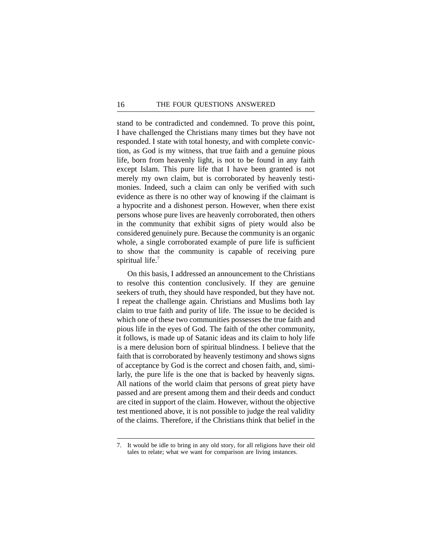stand to be contradicted and condemned. To prove this point, I have challenged the Christians many times but they have not responded. I state with total honesty, and with complete conviction, as God is my witness, that true faith and a genuine pious life, born from heavenly light, is not to be found in any faith except Islam. This pure life that I have been granted is not merely my own claim, but is corroborated by heavenly testimonies. Indeed, such a claim can only be verified with such evidence as there is no other way of knowing if the claimant is a hypocrite and a dishonest person. However, when there exist persons whose pure lives are heavenly corroborated, then others in the community that exhibit signs of piety would also be considered genuinely pure. Because the community is an organic whole, a single corroborated example of pure life is sufficient to show that the community is capable of receiving pure spiritual life.<sup>7</sup>

On this basis, I addressed an announcement to the Christians to resolve this contention conclusively. If they are genuine seekers of truth, they should have responded, but they have not. I repeat the challenge again. Christians and Muslims both lay claim to true faith and purity of life. The issue to be decided is which one of these two communities possesses the true faith and pious life in the eyes of God. The faith of the other community, it follows, is made up of Satanic ideas and its claim to holy life is a mere delusion born of spiritual blindness. I believe that the faith that is corroborated by heavenly testimony and shows signs of acceptance by God is the correct and chosen faith, and, similarly, the pure life is the one that is backed by heavenly signs. All nations of the world claim that persons of great piety have passed and are present among them and their deeds and conduct are cited in support of the claim. However, without the objective test mentioned above, it is not possible to judge the real validity of the claims. Therefore, if the Christians think that belief in the

<sup>7.</sup> It would be idle to bring in any old story, for all religions have their old tales to relate; what we want for comparison are living instances.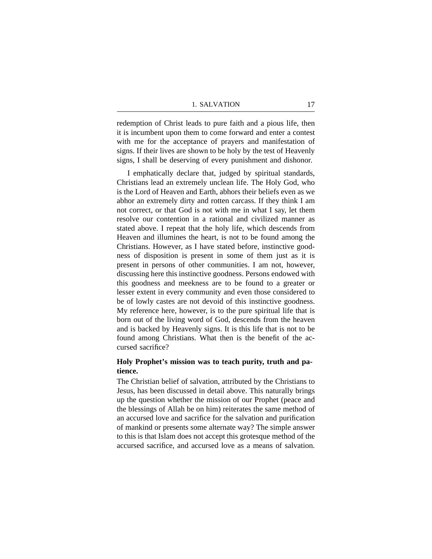redemption of Christ leads to pure faith and a pious life, then it is incumbent upon them to come forward and enter a contest with me for the acceptance of prayers and manifestation of signs. If their lives are shown to be holy by the test of Heavenly signs, I shall be deserving of every punishment and dishonor.

I emphatically declare that, judged by spiritual standards, Christians lead an extremely unclean life. The Holy God, who is the Lord of Heaven and Earth, abhors their beliefs even as we abhor an extremely dirty and rotten carcass. If they think I am not correct, or that God is not with me in what I say, let them resolve our contention in a rational and civilized manner as stated above. I repeat that the holy life, which descends from Heaven and illumines the heart, is not to be found among the Christians. However, as I have stated before, instinctive goodness of disposition is present in some of them just as it is present in persons of other communities. I am not, however, discussing here this instinctive goodness. Persons endowed with this goodness and meekness are to be found to a greater or lesser extent in every community and even those considered to be of lowly castes are not devoid of this instinctive goodness. My reference here, however, is to the pure spiritual life that is born out of the living word of God, descends from the heaven and is backed by Heavenly signs. It is this life that is not to be found among Christians. What then is the benefit of the accursed sacrifice?

## **Holy Prophet's mission was to teach purity, truth and patience.**

The Christian belief of salvation, attributed by the Christians to Jesus, has been discussed in detail above. This naturally brings up the question whether the mission of our Prophet (peace and the blessings of Allah be on him) reiterates the same method of an accursed love and sacrifice for the salvation and purification of mankind or presents some alternate way? The simple answer to this is that Islam does not accept this grotesque method of the accursed sacrifice, and accursed love as a means of salvation.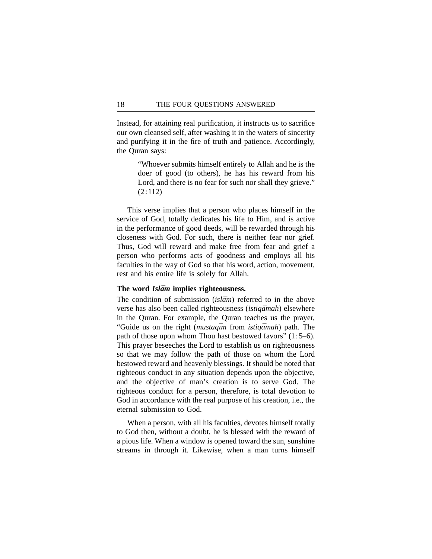Instead, for attaining real purification, it instructs us to sacrifice our own cleansed self, after washing it in the waters of sincerity and purifying it in the fire of truth and patience. Accordingly, the Quran says:

> "Whoever submits himself entirely to Allah and he is the doer of good (to others), he has his reward from his Lord, and there is no fear for such nor shall they grieve." (2:112)

This verse implies that a person who places himself in the service of God, totally dedicates his life to Him, and is active in the performance of good deeds, will be rewarded through his closeness with God. For such, there is neither fear nor grief. Thus, God will reward and make free from fear and grief a person who performs acts of goodness and employs all his faculties in the way of God so that his word, action, movement, rest and his entire life is solely for Allah.

#### The word *Islam* implies righteousness.

The condition of submission *(islam)* referred to in the above verse has also been called righteousness *(istiqamah)* elsewhere in the Quran. For example, the Quran teaches us the prayer, "Guide us on the right (*mustaqīm* from *istiqāmah*) path. The path of those upon whom Thou hast bestowed favors" (1:5–6). This prayer beseeches the Lord to establish us on righteousness so that we may follow the path of those on whom the Lord bestowed reward and heavenly blessings. It should be noted that righteous conduct in any situation depends upon the objective, and the objective of man's creation is to serve God. The righteous conduct for a person, therefore, is total devotion to God in accordance with the real purpose of his creation, i.e., the eternal submission to God.

When a person, with all his faculties, devotes himself totally to God then, without a doubt, he is blessed with the reward of a pious life. When a window is opened toward the sun, sunshine streams in through it. Likewise, when a man turns himself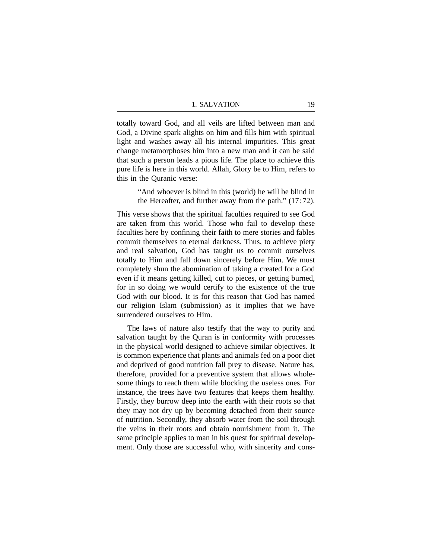totally toward God, and all veils are lifted between man and God, a Divine spark alights on him and fills him with spiritual light and washes away all his internal impurities. This great change metamorphoses him into a new man and it can be said that such a person leads a pious life. The place to achieve this pure life is here in this world. Allah, Glory be to Him, refers to this in the Quranic verse:

> "And whoever is blind in this (world) he will be blind in the Hereafter, and further away from the path." (17:72).

This verse shows that the spiritual faculties required to see God are taken from this world. Those who fail to develop these faculties here by confining their faith to mere stories and fables commit themselves to eternal darkness. Thus, to achieve piety and real salvation, God has taught us to commit ourselves totally to Him and fall down sincerely before Him. We must completely shun the abomination of taking a created for a God even if it means getting killed, cut to pieces, or getting burned, for in so doing we would certify to the existence of the true God with our blood. It is for this reason that God has named our religion Islam (submission) as it implies that we have surrendered ourselves to Him.

The laws of nature also testify that the way to purity and salvation taught by the Quran is in conformity with processes in the physical world designed to achieve similar objectives. It is common experience that plants and animals fed on a poor diet and deprived of good nutrition fall prey to disease. Nature has, therefore, provided for a preventive system that allows wholesome things to reach them while blocking the useless ones. For instance, the trees have two features that keeps them healthy. Firstly, they burrow deep into the earth with their roots so that they may not dry up by becoming detached from their source of nutrition. Secondly, they absorb water from the soil through the veins in their roots and obtain nourishment from it. The same principle applies to man in his quest for spiritual development. Only those are successful who, with sincerity and cons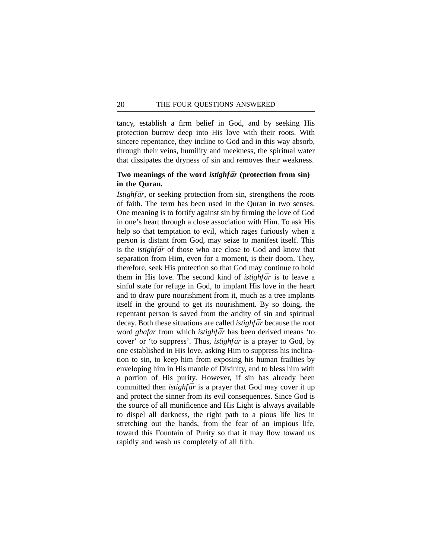tancy, establish a firm belief in God, and by seeking His protection burrow deep into His love with their roots. With sincere repentance, they incline to God and in this way absorb, through their veins, humility and meekness, the spiritual water that dissipates the dryness of sin and removes their weakness.

## Two meanings of the word *istighfar* (protection from sin) **in the Quran.**

*Istighfār*, or seeking protection from sin, strengthens the roots of faith. The term has been used in the Quran in two senses. One meaning is to fortify against sin by firming the love of God in one's heart through a close association with Him. To ask His help so that temptation to evil, which rages furiously when a person is distant from God, may seize to manifest itself. This is the *istighfar* of those who are close to God and know that separation from Him, even for a moment, is their doom. They, therefore, seek His protection so that God may continue to hold them in His love. The second kind of *istighfar* is to leave a sinful state for refuge in God, to implant His love in the heart and to draw pure nourishment from it, much as a tree implants itself in the ground to get its nourishment. By so doing, the repentant person is saved from the aridity of sin and spiritual decay. Both these situations are called *istighfar* because the root word *ghafar* from which *istighfar* has been derived means 'to cover' or 'to suppress'. Thus, *istighfar* is a prayer to God, by one established in His love, asking Him to suppress his inclination to sin, to keep him from exposing his human frailties by enveloping him in His mantle of Divinity, and to bless him with a portion of His purity. However, if sin has already been committed then *istighfar* is a prayer that God may cover it up and protect the sinner from its evil consequences. Since God is the source of all munificence and His Light is always available to dispel all darkness, the right path to a pious life lies in stretching out the hands, from the fear of an impious life, toward this Fountain of Purity so that it may flow toward us rapidly and wash us completely of all filth.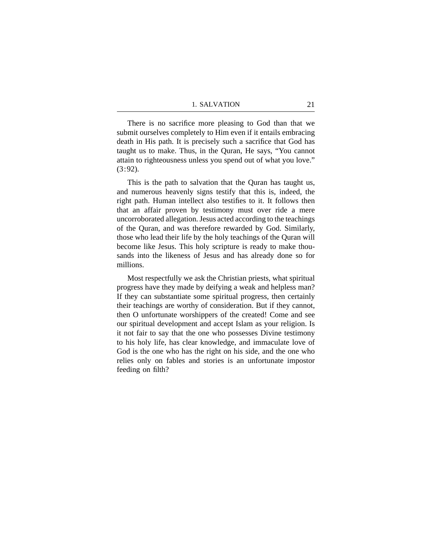There is no sacrifice more pleasing to God than that we submit ourselves completely to Him even if it entails embracing death in His path. It is precisely such a sacrifice that God has taught us to make. Thus, in the Quran, He says, "You cannot attain to righteousness unless you spend out of what you love."  $(3:92)$ .

This is the path to salvation that the Quran has taught us, and numerous heavenly signs testify that this is, indeed, the right path. Human intellect also testifies to it. It follows then that an affair proven by testimony must over ride a mere uncorroborated allegation. Jesus acted according to the teachings of the Quran, and was therefore rewarded by God. Similarly, those who lead their life by the holy teachings of the Quran will become like Jesus. This holy scripture is ready to make thousands into the likeness of Jesus and has already done so for millions.

Most respectfully we ask the Christian priests, what spiritual progress have they made by deifying a weak and helpless man? If they can substantiate some spiritual progress, then certainly their teachings are worthy of consideration. But if they cannot, then O unfortunate worshippers of the created! Come and see our spiritual development and accept Islam as your religion. Is it not fair to say that the one who possesses Divine testimony to his holy life, has clear knowledge, and immaculate love of God is the one who has the right on his side, and the one who relies only on fables and stories is an unfortunate impostor feeding on filth?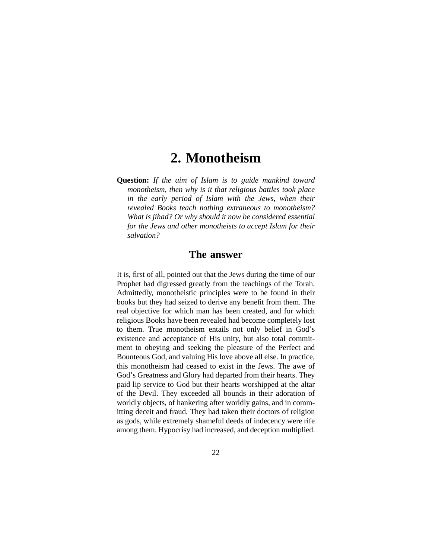## **2. Monotheism**

**Question:** *If the aim of Islam is to guide mankind toward monotheism, then why is it that religious battles took place in the early period of Islam with the Jews, when their revealed Books teach nothing extraneous to monotheism? What is jihad? Or why should it now be considered essential for the Jews and other monotheists to accept Islam for their salvation?*

## **The answer**

It is, first of all, pointed out that the Jews during the time of our Prophet had digressed greatly from the teachings of the Torah. Admittedly, monotheistic principles were to be found in their books but they had seized to derive any benefit from them. The real objective for which man has been created, and for which religious Books have been revealed had become completely lost to them. True monotheism entails not only belief in God's existence and acceptance of His unity, but also total commitment to obeying and seeking the pleasure of the Perfect and Bounteous God, and valuing His love above all else. In practice, this monotheism had ceased to exist in the Jews. The awe of God's Greatness and Glory had departed from their hearts. They paid lip service to God but their hearts worshipped at the altar of the Devil. They exceeded all bounds in their adoration of worldly objects, of hankering after worldly gains, and in committing deceit and fraud. They had taken their doctors of religion as gods, while extremely shameful deeds of indecency were rife among them. Hypocrisy had increased, and deception multiplied.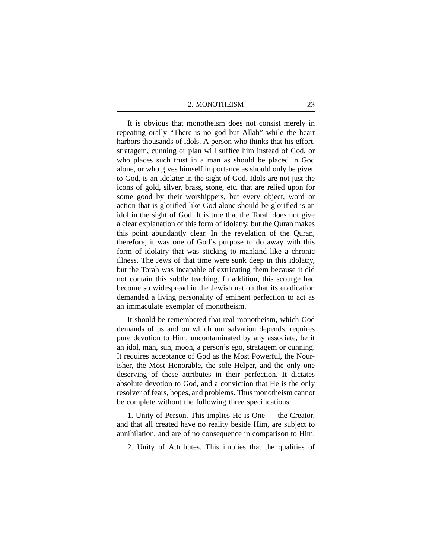It is obvious that monotheism does not consist merely in repeating orally "There is no god but Allah" while the heart harbors thousands of idols. A person who thinks that his effort, stratagem, cunning or plan will suffice him instead of God, or who places such trust in a man as should be placed in God alone, or who gives himself importance as should only be given to God, is an idolater in the sight of God. Idols are not just the icons of gold, silver, brass, stone, etc. that are relied upon for some good by their worshippers, but every object, word or action that is glorified like God alone should be glorified is an idol in the sight of God. It is true that the Torah does not give a clear explanation of this form of idolatry, but the Quran makes this point abundantly clear. In the revelation of the Quran, therefore, it was one of God's purpose to do away with this form of idolatry that was sticking to mankind like a chronic illness. The Jews of that time were sunk deep in this idolatry, but the Torah was incapable of extricating them because it did not contain this subtle teaching. In addition, this scourge had become so widespread in the Jewish nation that its eradication demanded a living personality of eminent perfection to act as an immaculate exemplar of monotheism.

It should be remembered that real monotheism, which God demands of us and on which our salvation depends, requires pure devotion to Him, uncontaminated by any associate, be it an idol, man, sun, moon, a person's ego, stratagem or cunning. It requires acceptance of God as the Most Powerful, the Nourisher, the Most Honorable, the sole Helper, and the only one deserving of these attributes in their perfection. It dictates absolute devotion to God, and a conviction that He is the only resolver of fears, hopes, and problems. Thus monotheism cannot be complete without the following three specifications:

1. Unity of Person. This implies He is One — the Creator, and that all created have no reality beside Him, are subject to annihilation, and are of no consequence in comparison to Him.

2. Unity of Attributes. This implies that the qualities of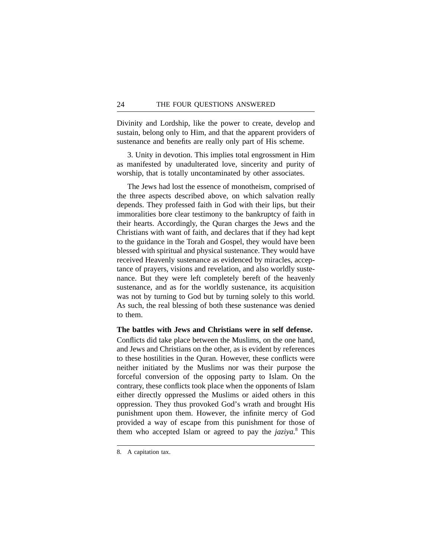Divinity and Lordship, like the power to create, develop and sustain, belong only to Him, and that the apparent providers of sustenance and benefits are really only part of His scheme.

3. Unity in devotion. This implies total engrossment in Him as manifested by unadulterated love, sincerity and purity of worship, that is totally uncontaminated by other associates.

The Jews had lost the essence of monotheism, comprised of the three aspects described above, on which salvation really depends. They professed faith in God with their lips, but their immoralities bore clear testimony to the bankruptcy of faith in their hearts. Accordingly, the Quran charges the Jews and the Christians with want of faith, and declares that if they had kept to the guidance in the Torah and Gospel, they would have been blessed with spiritual and physical sustenance. They would have received Heavenly sustenance as evidenced by miracles, acceptance of prayers, visions and revelation, and also worldly sustenance. But they were left completely bereft of the heavenly sustenance, and as for the worldly sustenance, its acquisition was not by turning to God but by turning solely to this world. As such, the real blessing of both these sustenance was denied to them.

## **The battles with Jews and Christians were in self defense.**

Conflicts did take place between the Muslims, on the one hand, and Jews and Christians on the other, as is evident by references to these hostilities in the Quran. However, these conflicts were neither initiated by the Muslims nor was their purpose the forceful conversion of the opposing party to Islam. On the contrary, these conflicts took place when the opponents of Islam either directly oppressed the Muslims or aided others in this oppression. They thus provoked God's wrath and brought His punishment upon them. However, the infinite mercy of God provided a way of escape from this punishment for those of them who accepted Islam or agreed to pay the *jaziya.*<sup>8</sup> This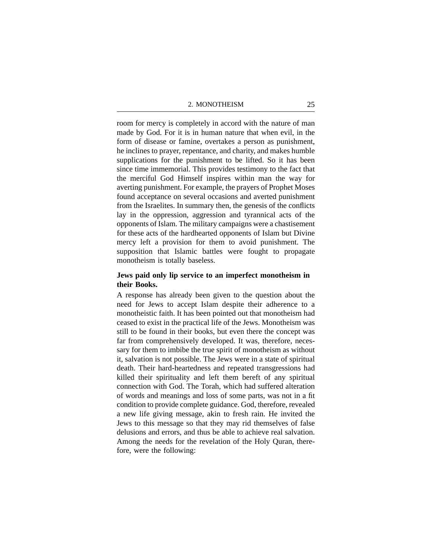room for mercy is completely in accord with the nature of man made by God. For it is in human nature that when evil, in the form of disease or famine, overtakes a person as punishment, he inclines to prayer, repentance, and charity, and makes humble supplications for the punishment to be lifted. So it has been since time immemorial. This provides testimony to the fact that the merciful God Himself inspires within man the way for averting punishment. For example, the prayers of Prophet Moses found acceptance on several occasions and averted punishment from the Israelites. In summary then, the genesis of the conflicts lay in the oppression, aggression and tyrannical acts of the opponents of Islam. The military campaigns were a chastisement for these acts of the hardhearted opponents of Islam but Divine mercy left a provision for them to avoid punishment. The supposition that Islamic battles were fought to propagate monotheism is totally baseless.

## **Jews paid only lip service to an imperfect monotheism in their Books.**

A response has already been given to the question about the need for Jews to accept Islam despite their adherence to a monotheistic faith. It has been pointed out that monotheism had ceased to exist in the practical life of the Jews. Monotheism was still to be found in their books, but even there the concept was far from comprehensively developed. It was, therefore, necessary for them to imbibe the true spirit of monotheism as without it, salvation is not possible. The Jews were in a state of spiritual death. Their hard-heartedness and repeated transgressions had killed their spirituality and left them bereft of any spiritual connection with God. The Torah, which had suffered alteration of words and meanings and loss of some parts, was not in a fit condition to provide complete guidance. God, therefore, revealed a new life giving message, akin to fresh rain. He invited the Jews to this message so that they may rid themselves of false delusions and errors, and thus be able to achieve real salvation. Among the needs for the revelation of the Holy Quran, therefore, were the following: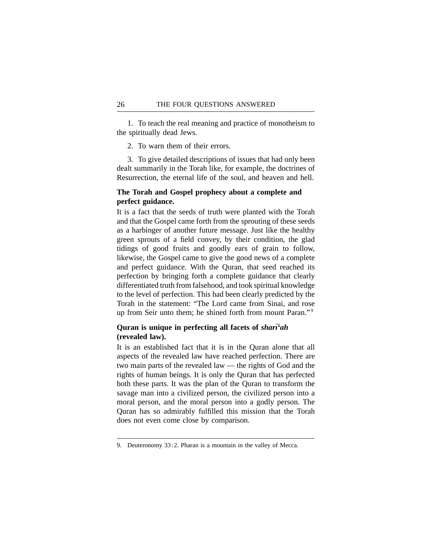1. To teach the real meaning and practice of monotheism to the spiritually dead Jews.

2. To warn them of their errors.

3. To give detailed descriptions of issues that had only been dealt summarily in the Torah like, for example, the doctrines of Resurrection, the eternal life of the soul, and heaven and hell.

## **The Torah and Gospel prophecy about a complete and perfect guidance.**

It is a fact that the seeds of truth were planted with the Torah and that the Gospel came forth from the sprouting of these seeds as a harbinger of another future message. Just like the healthy green sprouts of a field convey, by their condition, the glad tidings of good fruits and goodly ears of grain to follow, likewise, the Gospel came to give the good news of a complete and perfect guidance. With the Quran, that seed reached its perfection by bringing forth a complete guidance that clearly differentiated truth from falsehood, and took spiritual knowledge to the level of perfection. This had been clearly predicted by the Torah in the statement: "The Lord came from Sinai, and rose up from Seir unto them; he shined forth from mount Paran."<sup>9</sup>

## Quran is unique in perfecting all facets of *shart'ah* **(revealed law).**

It is an established fact that it is in the Quran alone that all aspects of the revealed law have reached perfection. There are two main parts of the revealed law — the rights of God and the rights of human beings. It is only the Quran that has perfected both these parts. It was the plan of the Quran to transform the savage man into a civilized person, the civilized person into a moral person, and the moral person into a godly person. The Quran has so admirably fulfilled this mission that the Torah does not even come close by comparison.

<sup>9.</sup> Deuteronomy 33:2. Pharan is a mountain in the valley of Mecca.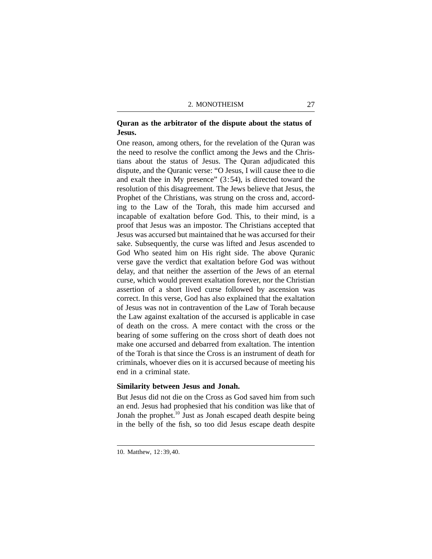## **Quran as the arbitrator of the dispute about the status of Jesus.**

One reason, among others, for the revelation of the Quran was the need to resolve the conflict among the Jews and the Christians about the status of Jesus. The Quran adjudicated this dispute, and the Quranic verse: "O Jesus, I will cause thee to die and exalt thee in My presence" (3:54), is directed toward the resolution of this disagreement. The Jews believe that Jesus, the Prophet of the Christians, was strung on the cross and, according to the Law of the Torah, this made him accursed and incapable of exaltation before God. This, to their mind, is a proof that Jesus was an impostor. The Christians accepted that Jesus was accursed but maintained that he was accursed for their sake. Subsequently, the curse was lifted and Jesus ascended to God Who seated him on His right side. The above Quranic verse gave the verdict that exaltation before God was without delay, and that neither the assertion of the Jews of an eternal curse, which would prevent exaltation forever, nor the Christian assertion of a short lived curse followed by ascension was correct. In this verse, God has also explained that the exaltation of Jesus was not in contravention of the Law of Torah because the Law against exaltation of the accursed is applicable in case of death on the cross. A mere contact with the cross or the bearing of some suffering on the cross short of death does not make one accursed and debarred from exaltation. The intention of the Torah is that since the Cross is an instrument of death for criminals, whoever dies on it is accursed because of meeting his end in a criminal state.

## **Similarity between Jesus and Jonah.**

But Jesus did not die on the Cross as God saved him from such an end. Jesus had prophesied that his condition was like that of Jonah the prophet.<sup>10</sup> Just as Jonah escaped death despite being in the belly of the fish, so too did Jesus escape death despite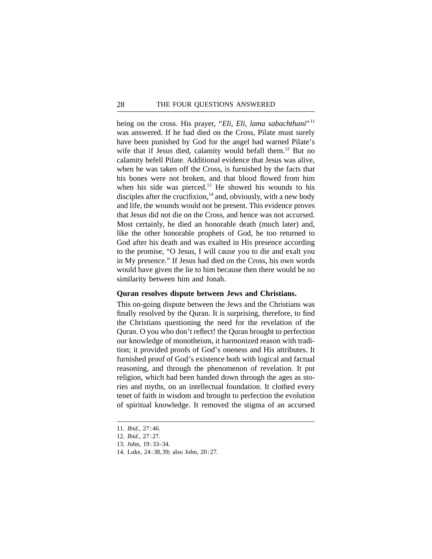being on the cross. His prayer, "*Eli, Eli, lama sabachthani*"<sup>11</sup> was answered. If he had died on the Cross, Pilate must surely have been punished by God for the angel had warned Pilate's wife that if Jesus died, calamity would befall them.<sup>12</sup> But no calamity befell Pilate. Additional evidence that Jesus was alive, when he was taken off the Cross, is furnished by the facts that his bones were not broken, and that blood flowed from him when his side was pierced.<sup>13</sup> He showed his wounds to his disciples after the crucifixion, $14$  and, obviously, with a new body and life, the wounds would not be present. This evidence proves that Jesus did not die on the Cross, and hence was not accursed. Most certainly, he died an honorable death (much later) and, like the other honorable prophets of God, he too returned to God after his death and was exalted in His presence according to the promise, "O Jesus, I will cause you to die and exalt you in My presence." If Jesus had died on the Cross, his own words would have given the lie to him because then there would be no similarity between him and Jonah.

## **Quran resolves dispute between Jews and Christians.**

This on-going dispute between the Jews and the Christians was finally resolved by the Quran. It is surprising, therefore, to find the Christians questioning the need for the revelation of the Quran. O you who don't reflect! the Quran brought to perfection our knowledge of monotheism, it harmonized reason with tradition; it provided proofs of God's oneness and His attributes. It furnished proof of God's existence both with logical and factual reasoning, and through the phenomenon of revelation. It put religion, which had been handed down through the ages as stories and myths, on an intellectual foundation. It clothed every tenet of faith in wisdom and brought to perfection the evolution of spiritual knowledge. It removed the stigma of an accursed

- 13. John, 19:33–34.
- 14. Luke, 24:38,39; also John, 20:27.

<sup>11.</sup> *Ibid.,* 27:46.

<sup>12.</sup> *Ibid.,* 27:27.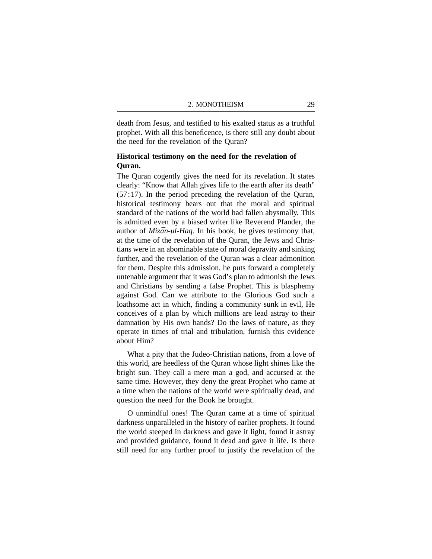death from Jesus, and testified to his exalted status as a truthful prophet. With all this beneficence, is there still any doubt about the need for the revelation of the Quran?

## **Historical testimony on the need for the revelation of Quran.**

The Quran cogently gives the need for its revelation. It states clearly: "Know that Allah gives life to the earth after its death" (57:17). In the period preceding the revelation of the Quran, historical testimony bears out that the moral and spiritual standard of the nations of the world had fallen abysmally. This is admitted even by a biased writer like Reverend Pfander, the author of *Mizān-ul-Haq*. In his book, he gives testimony that, at the time of the revelation of the Quran, the Jews and Christians were in an abominable state of moral depravity and sinking further, and the revelation of the Quran was a clear admonition for them. Despite this admission, he puts forward a completely untenable argument that it was God's plan to admonish the Jews and Christians by sending a false Prophet. This is blasphemy against God. Can we attribute to the Glorious God such a loathsome act in which, finding a community sunk in evil, He conceives of a plan by which millions are lead astray to their damnation by His own hands? Do the laws of nature, as they operate in times of trial and tribulation, furnish this evidence about Him?

What a pity that the Judeo-Christian nations, from a love of this world, are heedless of the Quran whose light shines like the bright sun. They call a mere man a god, and accursed at the same time. However, they deny the great Prophet who came at a time when the nations of the world were spiritually dead, and question the need for the Book he brought.

O unmindful ones! The Quran came at a time of spiritual darkness unparalleled in the history of earlier prophets. It found the world steeped in darkness and gave it light, found it astray and provided guidance, found it dead and gave it life. Is there still need for any further proof to justify the revelation of the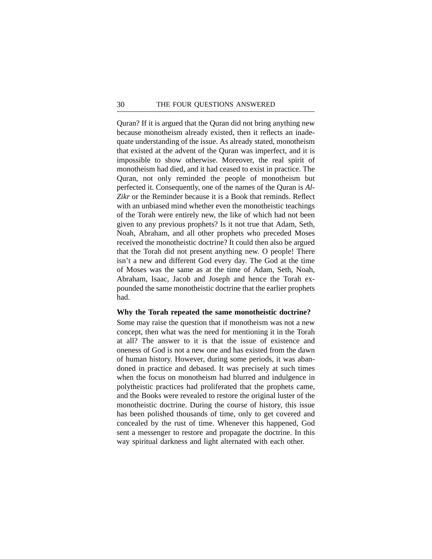Quran? If it is argued that the Quran did not bring anything new because monotheism already existed, then it reflects an inadequate understanding of the issue. As already stated, monotheism that existed at the advent of the Quran was imperfect, and it is impossible to show otherwise. Moreover, the real spirit of monotheism had died, and it had ceased to exist in practice. The Quran, not only reminded the people of monotheism but perfected it. Consequently, one of the names of the Quran is *Al-Zikr* or the Reminder because it is a Book that reminds. Reflect with an unbiased mind whether even the monotheistic teachings of the Torah were entirely new, the like of which had not been given to any previous prophets? Is it not true that Adam, Seth, Noah, Abraham, and all other prophets who preceded Moses received the monotheistic doctrine? It could then also be argued that the Torah did not present anything new. O people! There isn't a new and different God every day. The God at the time of Moses was the same as at the time of Adam, Seth, Noah, Abraham, Isaac, Jacob and Joseph and hence the Torah expounded the same monotheistic doctrine that the earlier prophets had.

#### **Why the Torah repeated the same monotheistic doctrine?**

Some may raise the question that if monotheism was not a new concept, then what was the need for mentioning it in the Torah at all? The answer to it is that the issue of existence and oneness of God is not a new one and has existed from the dawn of human history. However, during some periods, it was abandoned in practice and debased. It was precisely at such times when the focus on monotheism had blurred and indulgence in polytheistic practices had proliferated that the prophets came, and the Books were revealed to restore the original luster of the monotheistic doctrine. During the course of history, this issue has been polished thousands of time, only to get covered and concealed by the rust of time. Whenever this happened, God sent a messenger to restore and propagate the doctrine. In this way spiritual darkness and light alternated with each other.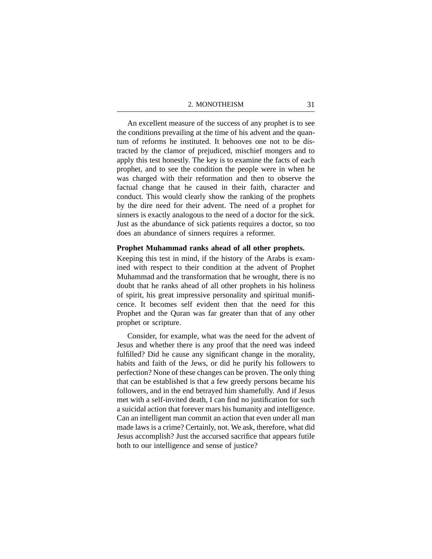An excellent measure of the success of any prophet is to see the conditions prevailing at the time of his advent and the quantum of reforms he instituted. It behooves one not to be distracted by the clamor of prejudiced, mischief mongers and to apply this test honestly. The key is to examine the facts of each prophet, and to see the condition the people were in when he was charged with their reformation and then to observe the factual change that he caused in their faith, character and conduct. This would clearly show the ranking of the prophets by the dire need for their advent. The need of a prophet for sinners is exactly analogous to the need of a doctor for the sick. Just as the abundance of sick patients requires a doctor, so too does an abundance of sinners requires a reformer.

## **Prophet Muhammad ranks ahead of all other prophets.**

Keeping this test in mind, if the history of the Arabs is examined with respect to their condition at the advent of Prophet Muhammad and the transformation that he wrought, there is no doubt that he ranks ahead of all other prophets in his holiness of spirit, his great impressive personality and spiritual munificence. It becomes self evident then that the need for this Prophet and the Quran was far greater than that of any other prophet or scripture.

Consider, for example, what was the need for the advent of Jesus and whether there is any proof that the need was indeed fulfilled? Did he cause any significant change in the morality, habits and faith of the Jews, or did he purify his followers to perfection? None of these changes can be proven. The only thing that can be established is that a few greedy persons became his followers, and in the end betrayed him shamefully. And if Jesus met with a self-invited death, I can find no justification for such a suicidal action that forever mars his humanity and intelligence. Can an intelligent man commit an action that even under all man made laws is a crime? Certainly, not. We ask, therefore, what did Jesus accomplish? Just the accursed sacrifice that appears futile both to our intelligence and sense of justice?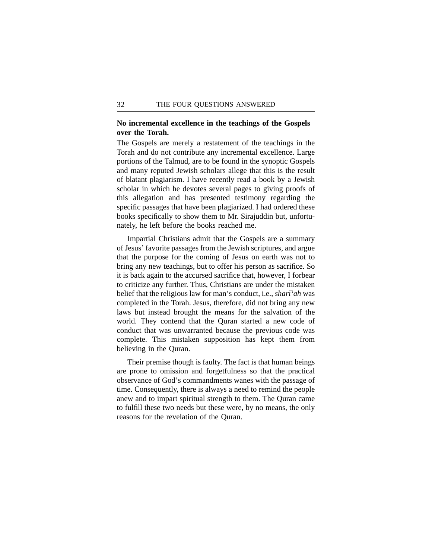## **No incremental excellence in the teachings of the Gospels over the Torah.**

The Gospels are merely a restatement of the teachings in the Torah and do not contribute any incremental excellence. Large portions of the Talmud, are to be found in the synoptic Gospels and many reputed Jewish scholars allege that this is the result of blatant plagiarism. I have recently read a book by a Jewish scholar in which he devotes several pages to giving proofs of this allegation and has presented testimony regarding the specific passages that have been plagiarized. I had ordered these books specifically to show them to Mr. Sirajuddin but, unfortunately, he left before the books reached me.

Impartial Christians admit that the Gospels are a summary of Jesus' favorite passages from the Jewish scriptures, and argue that the purpose for the coming of Jesus on earth was not to bring any new teachings, but to offer his person as sacrifice. So it is back again to the accursed sacrifice that, however, I forbear to criticize any further. Thus, Christians are under the mistaken belief that the religious law for man's conduct, i.e., *shari'ah* was completed in the Torah. Jesus, therefore, did not bring any new laws but instead brought the means for the salvation of the world. They contend that the Quran started a new code of conduct that was unwarranted because the previous code was complete. This mistaken supposition has kept them from believing in the Quran.

Their premise though is faulty. The fact is that human beings are prone to omission and forgetfulness so that the practical observance of God's commandments wanes with the passage of time. Consequently, there is always a need to remind the people anew and to impart spiritual strength to them. The Quran came to fulfill these two needs but these were, by no means, the only reasons for the revelation of the Quran.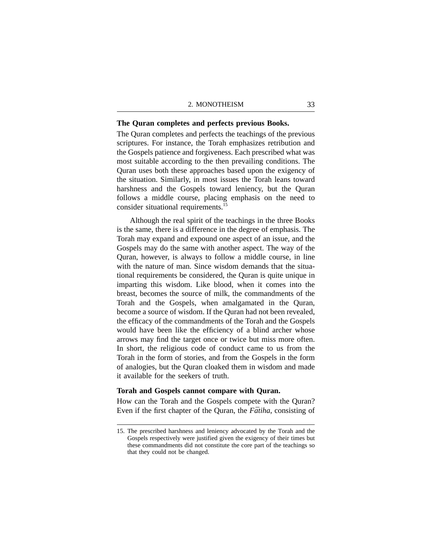### **The Quran completes and perfects previous Books.**

The Quran completes and perfects the teachings of the previous scriptures. For instance, the Torah emphasizes retribution and the Gospels patience and forgiveness. Each prescribed what was most suitable according to the then prevailing conditions. The Quran uses both these approaches based upon the exigency of the situation. Similarly, in most issues the Torah leans toward harshness and the Gospels toward leniency, but the Quran follows a middle course, placing emphasis on the need to consider situational requirements.<sup>15</sup>

Although the real spirit of the teachings in the three Books is the same, there is a difference in the degree of emphasis. The Torah may expand and expound one aspect of an issue, and the Gospels may do the same with another aspect. The way of the Quran, however, is always to follow a middle course, in line with the nature of man. Since wisdom demands that the situational requirements be considered, the Quran is quite unique in imparting this wisdom. Like blood, when it comes into the breast, becomes the source of milk, the commandments of the Torah and the Gospels, when amalgamated in the Quran, become a source of wisdom. If the Quran had not been revealed, the efficacy of the commandments of the Torah and the Gospels would have been like the efficiency of a blind archer whose arrows may find the target once or twice but miss more often. In short, the religious code of conduct came to us from the Torah in the form of stories, and from the Gospels in the form of analogies, but the Quran cloaked them in wisdom and made it available for the seekers of truth.

## **Torah and Gospels cannot compare with Quran.**

How can the Torah and the Gospels compete with the Quran? Even if the first chapter of the Quran, the *Fātiha*, consisting of

<sup>15.</sup> The prescribed harshness and leniency advocated by the Torah and the Gospels respectively were justified given the exigency of their times but these commandments did not constitute the core part of the teachings so that they could not be changed.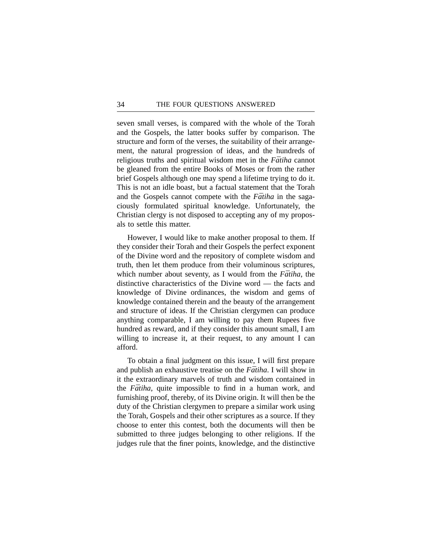seven small verses, is compared with the whole of the Torah and the Gospels, the latter books suffer by comparison. The structure and form of the verses, the suitability of their arrangement, the natural progression of ideas, and the hundreds of religious truths and spiritual wisdom met in the *Fātiha* cannot be gleaned from the entire Books of Moses or from the rather brief Gospels although one may spend a lifetime trying to do it. This is not an idle boast, but a factual statement that the Torah and the Gospels cannot compete with the *Fātiha* in the sagaciously formulated spiritual knowledge. Unfortunately, the Christian clergy is not disposed to accepting any of my proposals to settle this matter.

However, I would like to make another proposal to them. If they consider their Torah and their Gospels the perfect exponent of the Divine word and the repository of complete wisdom and truth, then let them produce from their voluminous scriptures, which number about seventy, as I would from the *Fatiha*, the distinctive characteristics of the Divine word — the facts and knowledge of Divine ordinances, the wisdom and gems of knowledge contained therein and the beauty of the arrangement and structure of ideas. If the Christian clergymen can produce anything comparable, I am willing to pay them Rupees five hundred as reward, and if they consider this amount small, I am willing to increase it, at their request, to any amount I can afford.

To obtain a final judgment on this issue, I will first prepare and publish an exhaustive treatise on the *Fātiha*. I will show in it the extraordinary marvels of truth and wisdom contained in the *Fātiha*, quite impossible to find in a human work, and furnishing proof, thereby, of its Divine origin. It will then be the duty of the Christian clergymen to prepare a similar work using the Torah, Gospels and their other scriptures as a source. If they choose to enter this contest, both the documents will then be submitted to three judges belonging to other religions. If the judges rule that the finer points, knowledge, and the distinctive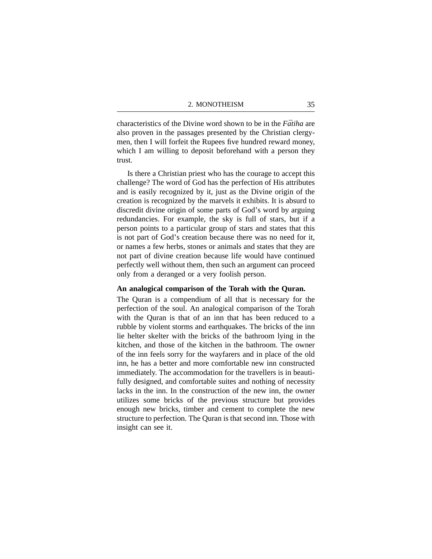characteristics of the Divine word shown to be in the *Fatiha* are also proven in the passages presented by the Christian clergymen, then I will forfeit the Rupees five hundred reward money, which I am willing to deposit beforehand with a person they trust.

Is there a Christian priest who has the courage to accept this challenge? The word of God has the perfection of His attributes and is easily recognized by it, just as the Divine origin of the creation is recognized by the marvels it exhibits. It is absurd to discredit divine origin of some parts of God's word by arguing redundancies. For example, the sky is full of stars, but if a person points to a particular group of stars and states that this is not part of God's creation because there was no need for it, or names a few herbs, stones or animals and states that they are not part of divine creation because life would have continued perfectly well without them, then such an argument can proceed only from a deranged or a very foolish person.

## **An analogical comparison of the Torah with the Quran.**

The Quran is a compendium of all that is necessary for the perfection of the soul. An analogical comparison of the Torah with the Quran is that of an inn that has been reduced to a rubble by violent storms and earthquakes. The bricks of the inn lie helter skelter with the bricks of the bathroom lying in the kitchen, and those of the kitchen in the bathroom. The owner of the inn feels sorry for the wayfarers and in place of the old inn, he has a better and more comfortable new inn constructed immediately. The accommodation for the travellers is in beautifully designed, and comfortable suites and nothing of necessity lacks in the inn. In the construction of the new inn, the owner utilizes some bricks of the previous structure but provides enough new bricks, timber and cement to complete the new structure to perfection. The Quran is that second inn. Those with insight can see it.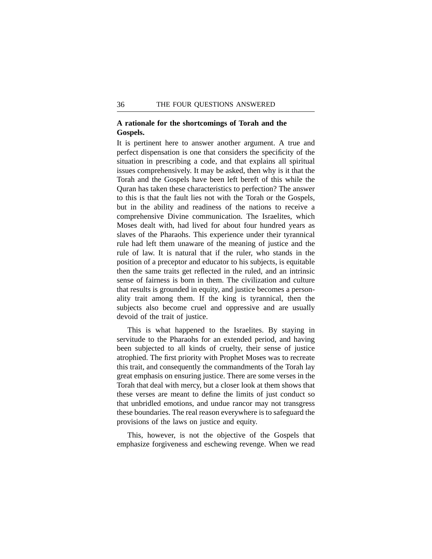## **A rationale for the shortcomings of Torah and the Gospels.**

It is pertinent here to answer another argument. A true and perfect dispensation is one that considers the specificity of the situation in prescribing a code, and that explains all spiritual issues comprehensively. It may be asked, then why is it that the Torah and the Gospels have been left bereft of this while the Quran has taken these characteristics to perfection? The answer to this is that the fault lies not with the Torah or the Gospels, but in the ability and readiness of the nations to receive a comprehensive Divine communication. The Israelites, which Moses dealt with, had lived for about four hundred years as slaves of the Pharaohs. This experience under their tyrannical rule had left them unaware of the meaning of justice and the rule of law. It is natural that if the ruler, who stands in the position of a preceptor and educator to his subjects, is equitable then the same traits get reflected in the ruled, and an intrinsic sense of fairness is born in them. The civilization and culture that results is grounded in equity, and justice becomes a personality trait among them. If the king is tyrannical, then the subjects also become cruel and oppressive and are usually devoid of the trait of justice.

This is what happened to the Israelites. By staying in servitude to the Pharaohs for an extended period, and having been subjected to all kinds of cruelty, their sense of justice atrophied. The first priority with Prophet Moses was to recreate this trait, and consequently the commandments of the Torah lay great emphasis on ensuring justice. There are some verses in the Torah that deal with mercy, but a closer look at them shows that these verses are meant to define the limits of just conduct so that unbridled emotions, and undue rancor may not transgress these boundaries. The real reason everywhere is to safeguard the provisions of the laws on justice and equity.

This, however, is not the objective of the Gospels that emphasize forgiveness and eschewing revenge. When we read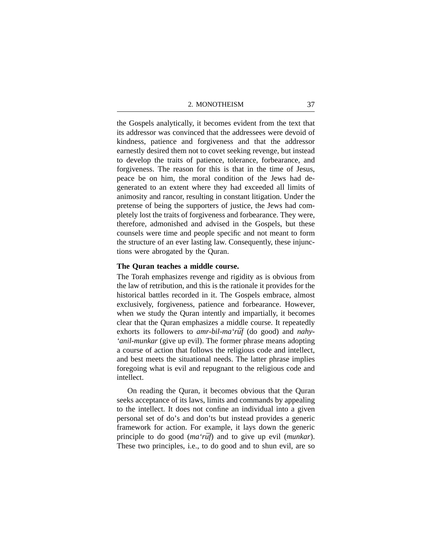the Gospels analytically, it becomes evident from the text that its addressor was convinced that the addressees were devoid of kindness, patience and forgiveness and that the addressor earnestly desired them not to covet seeking revenge, but instead to develop the traits of patience, tolerance, forbearance, and forgiveness. The reason for this is that in the time of Jesus, peace be on him, the moral condition of the Jews had degenerated to an extent where they had exceeded all limits of animosity and rancor, resulting in constant litigation. Under the pretense of being the supporters of justice, the Jews had completely lost the traits of forgiveness and forbearance. They were, therefore, admonished and advised in the Gospels, but these counsels were time and people specific and not meant to form the structure of an ever lasting law. Consequently, these injunctions were abrogated by the Quran.

## **The Quran teaches a middle course.**

The Torah emphasizes revenge and rigidity as is obvious from the law of retribution, and this is the rationale it provides for the historical battles recorded in it. The Gospels embrace, almost exclusively, forgiveness, patience and forbearance. However, when we study the Quran intently and impartially, it becomes clear that the Quran emphasizes a middle course. It repeatedly exhorts its followers to *amr-bil-ma'ruf* (do good) and *nahy-'anil-munkar* (give up evil). The former phrase means adopting a course of action that follows the religious code and intellect, and best meets the situational needs. The latter phrase implies foregoing what is evil and repugnant to the religious code and intellect.

On reading the Quran, it becomes obvious that the Quran seeks acceptance of its laws, limits and commands by appealing to the intellect. It does not confine an individual into a given personal set of do's and don'ts but instead provides a generic framework for action. For example, it lays down the generic principle to do good (*ma'rūf*) and to give up evil (*munkar*). These two principles, i.e., to do good and to shun evil, are so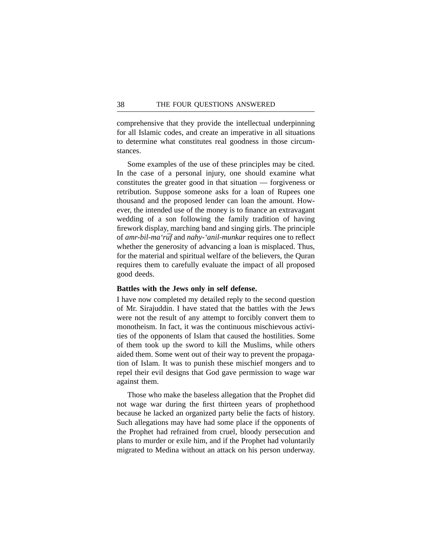comprehensive that they provide the intellectual underpinning for all Islamic codes, and create an imperative in all situations to determine what constitutes real goodness in those circumstances.

Some examples of the use of these principles may be cited. In the case of a personal injury, one should examine what constitutes the greater good in that situation — forgiveness or retribution. Suppose someone asks for a loan of Rupees one thousand and the proposed lender can loan the amount. However, the intended use of the money is to finance an extravagant wedding of a son following the family tradition of having firework display, marching band and singing girls. The principle of *amr-bil-ma'rūf* and *nahy-'anil-munkar* requires one to reflect whether the generosity of advancing a loan is misplaced. Thus, for the material and spiritual welfare of the believers, the Quran requires them to carefully evaluate the impact of all proposed good deeds.

## **Battles with the Jews only in self defense.**

I have now completed my detailed reply to the second question of Mr. Sirajuddin. I have stated that the battles with the Jews were not the result of any attempt to forcibly convert them to monotheism. In fact, it was the continuous mischievous activities of the opponents of Islam that caused the hostilities. Some of them took up the sword to kill the Muslims, while others aided them. Some went out of their way to prevent the propagation of Islam. It was to punish these mischief mongers and to repel their evil designs that God gave permission to wage war against them.

Those who make the baseless allegation that the Prophet did not wage war during the first thirteen years of prophethood because he lacked an organized party belie the facts of history. Such allegations may have had some place if the opponents of the Prophet had refrained from cruel, bloody persecution and plans to murder or exile him, and if the Prophet had voluntarily migrated to Medina without an attack on his person underway.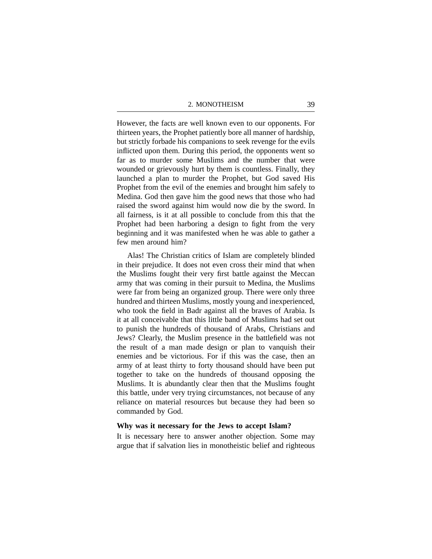However, the facts are well known even to our opponents. For thirteen years, the Prophet patiently bore all manner of hardship, but strictly forbade his companions to seek revenge for the evils inflicted upon them. During this period, the opponents went so far as to murder some Muslims and the number that were wounded or grievously hurt by them is countless. Finally, they launched a plan to murder the Prophet, but God saved His Prophet from the evil of the enemies and brought him safely to Medina. God then gave him the good news that those who had raised the sword against him would now die by the sword. In all fairness, is it at all possible to conclude from this that the Prophet had been harboring a design to fight from the very beginning and it was manifested when he was able to gather a few men around him?

Alas! The Christian critics of Islam are completely blinded in their prejudice. It does not even cross their mind that when the Muslims fought their very first battle against the Meccan army that was coming in their pursuit to Medina, the Muslims were far from being an organized group. There were only three hundred and thirteen Muslims, mostly young and inexperienced, who took the field in Badr against all the braves of Arabia. Is it at all conceivable that this little band of Muslims had set out to punish the hundreds of thousand of Arabs, Christians and Jews? Clearly, the Muslim presence in the battlefield was not the result of a man made design or plan to vanquish their enemies and be victorious. For if this was the case, then an army of at least thirty to forty thousand should have been put together to take on the hundreds of thousand opposing the Muslims. It is abundantly clear then that the Muslims fought this battle, under very trying circumstances, not because of any reliance on material resources but because they had been so commanded by God.

#### **Why was it necessary for the Jews to accept Islam?**

It is necessary here to answer another objection. Some may argue that if salvation lies in monotheistic belief and righteous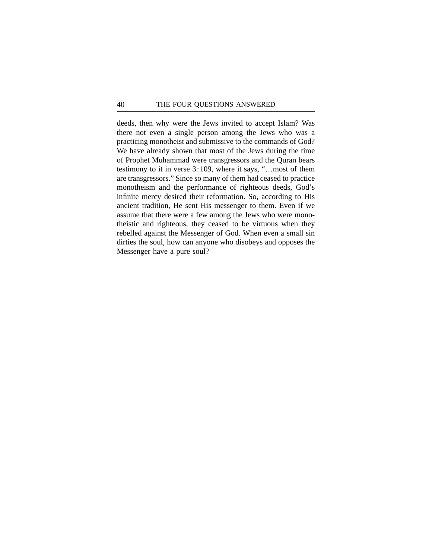deeds, then why were the Jews invited to accept Islam? Was there not even a single person among the Jews who was a practicing monotheist and submissive to the commands of God? We have already shown that most of the Jews during the time of Prophet Muhammad were transgressors and the Quran bears testimony to it in verse 3:109, where it says, "…most of them are transgressors." Since so many of them had ceased to practice monotheism and the performance of righteous deeds, God's infinite mercy desired their reformation. So, according to His ancient tradition, He sent His messenger to them. Even if we assume that there were a few among the Jews who were monotheistic and righteous, they ceased to be virtuous when they rebelled against the Messenger of God. When even a small sin dirties the soul, how can anyone who disobeys and opposes the Messenger have a pure soul?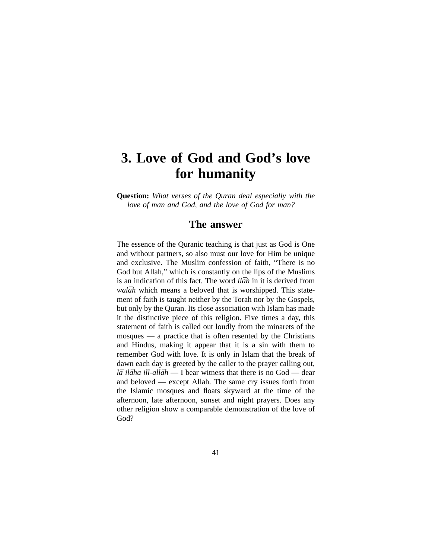## **3. Love of God and God's love for humanity**

**Question:** *What verses of the Quran deal especially with the love of man and God, and the love of God for man?*

## **The answer**

The essence of the Quranic teaching is that just as God is One and without partners, so also must our love for Him be unique and exclusive. The Muslim confession of faith, "There is no God but Allah," which is constantly on the lips of the Muslims is an indication of this fact. The word *ilah* in it is derived from *walāh* which means a beloved that is worshipped. This statement of faith is taught neither by the Torah nor by the Gospels, but only by the Quran. Its close association with Islam has made it the distinctive piece of this religion. Five times a day, this statement of faith is called out loudly from the minarets of the mosques — a practice that is often resented by the Christians and Hindus, making it appear that it is a sin with them to remember God with love. It is only in Islam that the break of dawn each day is greeted by the caller to the prayer calling out, *lā ilāha ill-allāh* — I bear witness that there is no God — dear and beloved — except Allah. The same cry issues forth from the Islamic mosques and floats skyward at the time of the afternoon, late afternoon, sunset and night prayers. Does any other religion show a comparable demonstration of the love of God?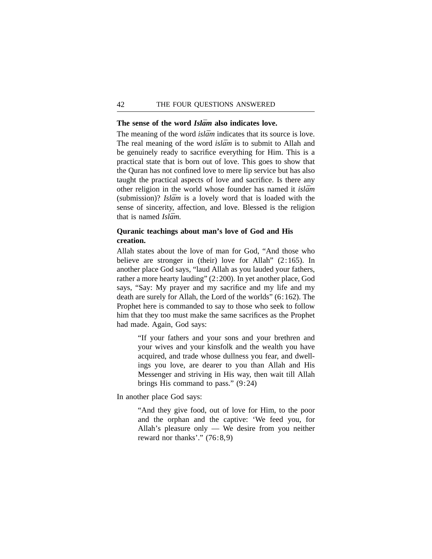#### The sense of the word *Islām* also indicates love.

The meaning of the word *islam* indicates that its source is love. The real meaning of the word *islam* is to submit to Allah and be genuinely ready to sacrifice everything for Him. This is a practical state that is born out of love. This goes to show that the Quran has not confined love to mere lip service but has also taught the practical aspects of love and sacrifice. Is there any other religion in the world whose founder has named it *islam* (submission)? *Islam* is a lovely word that is loaded with the sense of sincerity, affection, and love. Blessed is the religion that is named *Islām*.

## **Quranic teachings about man's love of God and His creation.**

Allah states about the love of man for God, "And those who believe are stronger in (their) love for Allah" (2:165). In another place God says, "laud Allah as you lauded your fathers, rather a more hearty lauding" (2:200). In yet another place, God says, "Say: My prayer and my sacrifice and my life and my death are surely for Allah, the Lord of the worlds" (6:162). The Prophet here is commanded to say to those who seek to follow him that they too must make the same sacrifices as the Prophet had made. Again, God says:

> "If your fathers and your sons and your brethren and your wives and your kinsfolk and the wealth you have acquired, and trade whose dullness you fear, and dwellings you love, are dearer to you than Allah and His Messenger and striving in His way, then wait till Allah brings His command to pass." (9:24)

In another place God says:

"And they give food, out of love for Him, to the poor and the orphan and the captive: 'We feed you, for Allah's pleasure only — We desire from you neither reward nor thanks'." (76:8,9)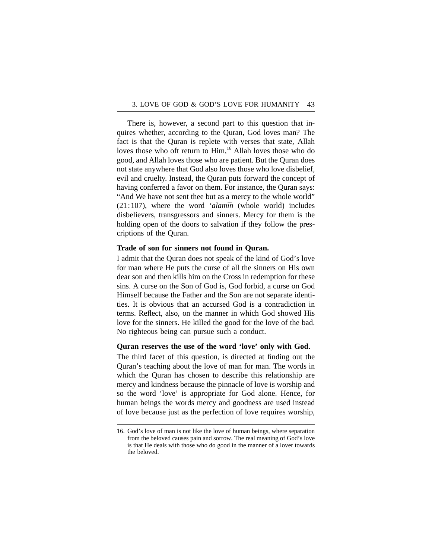There is, however, a second part to this question that inquires whether, according to the Quran, God loves man? The fact is that the Quran is replete with verses that state, Allah loves those who oft return to Him,<sup>16</sup> Allah loves those who do good, and Allah loves those who are patient. But the Quran does not state anywhere that God also loves those who love disbelief, evil and cruelty. Instead, the Quran puts forward the concept of having conferred a favor on them. For instance, the Quran says: "And We have not sent thee but as a mercy to the whole world"  $(21:107)$ , where the word *'alamin* (whole world) includes disbelievers, transgressors and sinners. Mercy for them is the holding open of the doors to salvation if they follow the prescriptions of the Quran.

## **Trade of son for sinners not found in Quran.**

I admit that the Quran does not speak of the kind of God's love for man where He puts the curse of all the sinners on His own dear son and then kills him on the Cross in redemption for these sins. A curse on the Son of God is, God forbid, a curse on God Himself because the Father and the Son are not separate identities. It is obvious that an accursed God is a contradiction in terms. Reflect, also, on the manner in which God showed His love for the sinners. He killed the good for the love of the bad. No righteous being can pursue such a conduct.

## **Quran reserves the use of the word 'love' only with God.**

The third facet of this question, is directed at finding out the Quran's teaching about the love of man for man. The words in which the Quran has chosen to describe this relationship are mercy and kindness because the pinnacle of love is worship and so the word 'love' is appropriate for God alone. Hence, for human beings the words mercy and goodness are used instead of love because just as the perfection of love requires worship,

<sup>16.</sup> God's love of man is not like the love of human beings, where separation from the beloved causes pain and sorrow. The real meaning of God's love is that He deals with those who do good in the manner of a lover towards the beloved.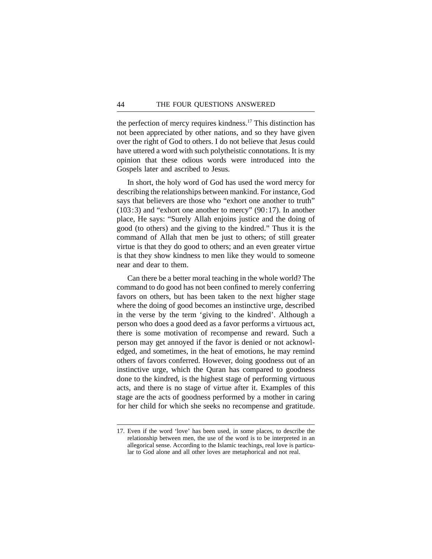the perfection of mercy requires kindness.17 This distinction has not been appreciated by other nations, and so they have given over the right of God to others. I do not believe that Jesus could have uttered a word with such polytheistic connotations. It is my opinion that these odious words were introduced into the Gospels later and ascribed to Jesus.

In short, the holy word of God has used the word mercy for describing the relationships between mankind. For instance, God says that believers are those who "exhort one another to truth"  $(103:3)$  and "exhort one another to mercy"  $(90:17)$ . In another place, He says: "Surely Allah enjoins justice and the doing of good (to others) and the giving to the kindred." Thus it is the command of Allah that men be just to others; of still greater virtue is that they do good to others; and an even greater virtue is that they show kindness to men like they would to someone near and dear to them.

Can there be a better moral teaching in the whole world? The command to do good has not been confined to merely conferring favors on others, but has been taken to the next higher stage where the doing of good becomes an instinctive urge, described in the verse by the term 'giving to the kindred'. Although a person who does a good deed as a favor performs a virtuous act, there is some motivation of recompense and reward. Such a person may get annoyed if the favor is denied or not acknowledged, and sometimes, in the heat of emotions, he may remind others of favors conferred. However, doing goodness out of an instinctive urge, which the Quran has compared to goodness done to the kindred, is the highest stage of performing virtuous acts, and there is no stage of virtue after it. Examples of this stage are the acts of goodness performed by a mother in caring for her child for which she seeks no recompense and gratitude.

<sup>17.</sup> Even if the word 'love' has been used, in some places, to describe the relationship between men, the use of the word is to be interpreted in an allegorical sense. According to the Islamic teachings, real love is particular to God alone and all other loves are metaphorical and not real.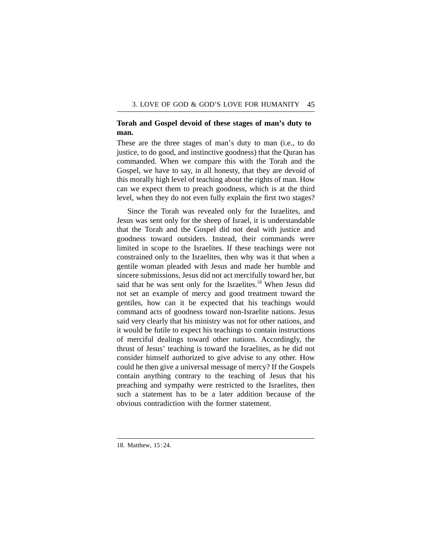## **Torah and Gospel devoid of these stages of man's duty to man.**

These are the three stages of man's duty to man (i.e., to do justice, to do good, and instinctive goodness) that the Quran has commanded. When we compare this with the Torah and the Gospel, we have to say, in all honesty, that they are devoid of this morally high level of teaching about the rights of man. How can we expect them to preach goodness, which is at the third level, when they do not even fully explain the first two stages?

Since the Torah was revealed only for the Israelites, and Jesus was sent only for the sheep of Israel, it is understandable that the Torah and the Gospel did not deal with justice and goodness toward outsiders. Instead, their commands were limited in scope to the Israelites. If these teachings were not constrained only to the Israelites, then why was it that when a gentile woman pleaded with Jesus and made her humble and sincere submissions, Jesus did not act mercifully toward her, but said that he was sent only for the Israelites.<sup>18</sup> When Jesus did not set an example of mercy and good treatment toward the gentiles, how can it be expected that his teachings would command acts of goodness toward non-Israelite nations. Jesus said very clearly that his ministry was not for other nations, and it would be futile to expect his teachings to contain instructions of merciful dealings toward other nations. Accordingly, the thrust of Jesus' teaching is toward the Israelites, as he did not consider himself authorized to give advise to any other. How could he then give a universal message of mercy? If the Gospels contain anything contrary to the teaching of Jesus that his preaching and sympathy were restricted to the Israelites, then such a statement has to be a later addition because of the obvious contradiction with the former statement.

<sup>18.</sup> Matthew, 15:24.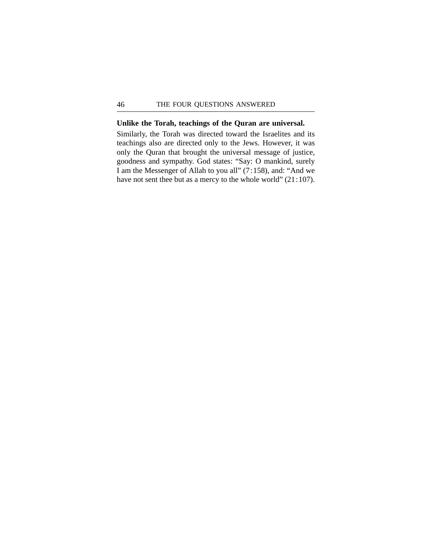#### **Unlike the Torah, teachings of the Quran are universal.**

Similarly, the Torah was directed toward the Israelites and its teachings also are directed only to the Jews. However, it was only the Quran that brought the universal message of justice, goodness and sympathy. God states: "Say: O mankind, surely I am the Messenger of Allah to you all" (7:158), and: "And we have not sent thee but as a mercy to the whole world" (21:107).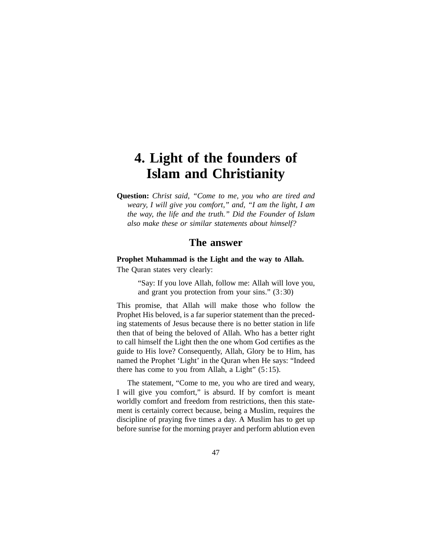# **4. Light of the founders of Islam and Christianity**

**Question:** *Christ said, "Come to me, you who are tired and weary, I will give you comfort," and, "I am the light, I am the way, the life and the truth." Did the Founder of Islam also make these or similar statements about himself?*

## **The answer**

## **Prophet Muhammad is the Light and the way to Allah.**

The Quran states very clearly:

"Say: If you love Allah, follow me: Allah will love you, and grant you protection from your sins." (3:30)

This promise, that Allah will make those who follow the Prophet His beloved, is a far superior statement than the preceding statements of Jesus because there is no better station in life then that of being the beloved of Allah. Who has a better right to call himself the Light then the one whom God certifies as the guide to His love? Consequently, Allah, Glory be to Him, has named the Prophet 'Light' in the Quran when He says: "Indeed there has come to you from Allah, a Light"  $(5:15)$ .

The statement, "Come to me, you who are tired and weary, I will give you comfort," is absurd. If by comfort is meant worldly comfort and freedom from restrictions, then this statement is certainly correct because, being a Muslim, requires the discipline of praying five times a day. A Muslim has to get up before sunrise for the morning prayer and perform ablution even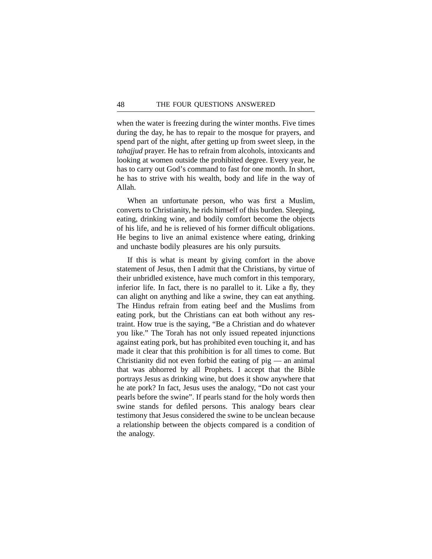when the water is freezing during the winter months. Five times during the day, he has to repair to the mosque for prayers, and spend part of the night, after getting up from sweet sleep, in the *tahajjud* prayer. He has to refrain from alcohols, intoxicants and looking at women outside the prohibited degree. Every year, he has to carry out God's command to fast for one month. In short, he has to strive with his wealth, body and life in the way of Allah.

When an unfortunate person, who was first a Muslim, converts to Christianity, he rids himself of this burden. Sleeping, eating, drinking wine, and bodily comfort become the objects of his life, and he is relieved of his former difficult obligations. He begins to live an animal existence where eating, drinking and unchaste bodily pleasures are his only pursuits.

If this is what is meant by giving comfort in the above statement of Jesus, then I admit that the Christians, by virtue of their unbridled existence, have much comfort in this temporary, inferior life. In fact, there is no parallel to it. Like a fly, they can alight on anything and like a swine, they can eat anything. The Hindus refrain from eating beef and the Muslims from eating pork, but the Christians can eat both without any restraint. How true is the saying, "Be a Christian and do whatever you like." The Torah has not only issued repeated injunctions against eating pork, but has prohibited even touching it, and has made it clear that this prohibition is for all times to come. But Christianity did not even forbid the eating of pig — an animal that was abhorred by all Prophets. I accept that the Bible portrays Jesus as drinking wine, but does it show anywhere that he ate pork? In fact, Jesus uses the analogy, "Do not cast your pearls before the swine". If pearls stand for the holy words then swine stands for defiled persons. This analogy bears clear testimony that Jesus considered the swine to be unclean because a relationship between the objects compared is a condition of the analogy.